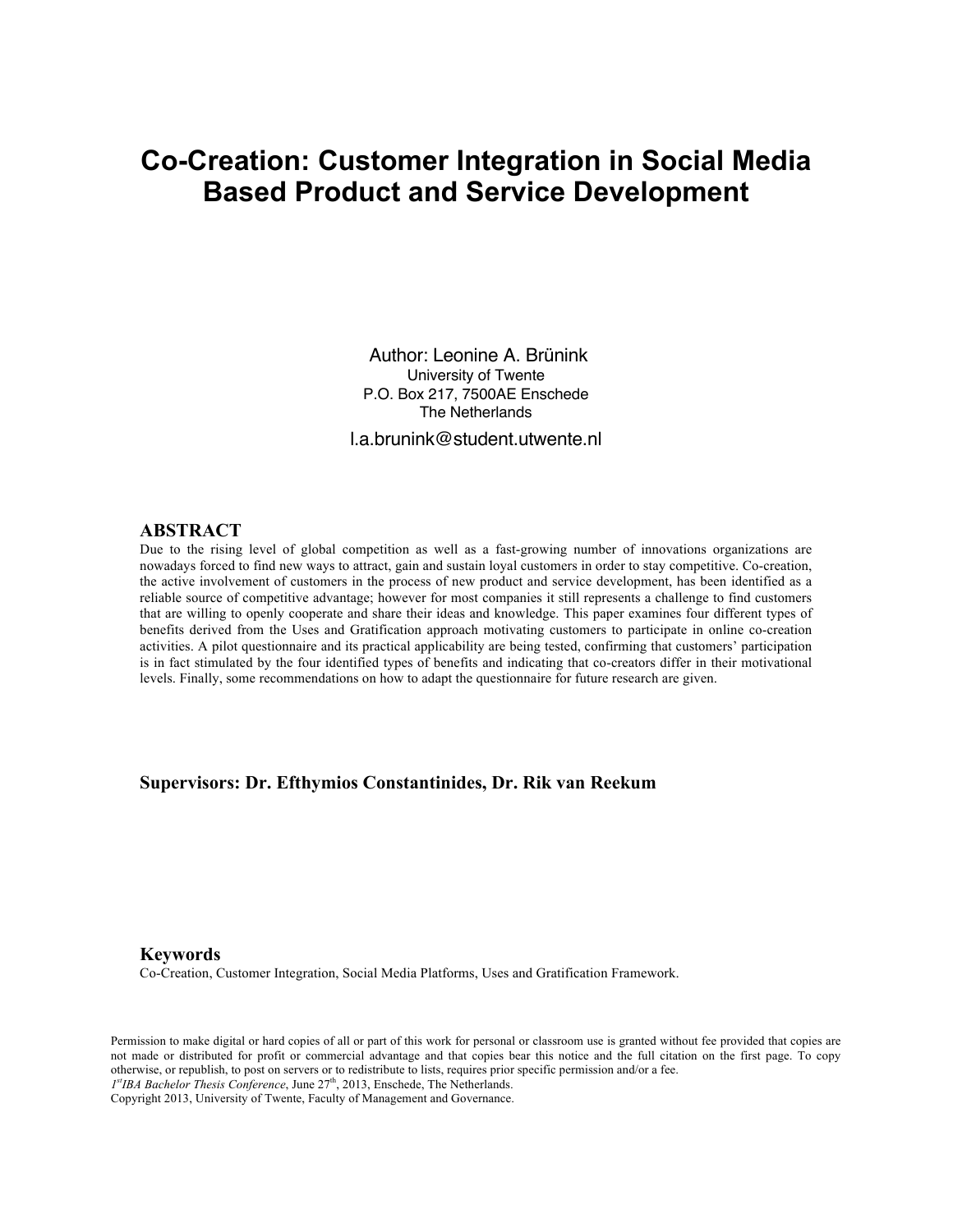# **Co-Creation: Customer Integration in Social Media Based Product and Service Development**

Author: Leonine A. Brünink University of Twente P.O. Box 217, 7500AE Enschede The Netherlands

l.a.brunink@student.utwente.nl

## **ABSTRACT**

Due to the rising level of global competition as well as a fast-growing number of innovations organizations are nowadays forced to find new ways to attract, gain and sustain loyal customers in order to stay competitive. Co-creation, the active involvement of customers in the process of new product and service development, has been identified as a reliable source of competitive advantage; however for most companies it still represents a challenge to find customers that are willing to openly cooperate and share their ideas and knowledge. This paper examines four different types of benefits derived from the Uses and Gratification approach motivating customers to participate in online co-creation activities. A pilot questionnaire and its practical applicability are being tested, confirming that customers' participation is in fact stimulated by the four identified types of benefits and indicating that co-creators differ in their motivational levels. Finally, some recommendations on how to adapt the questionnaire for future research are given.

## **Supervisors: Dr. Efthymios Constantinides, Dr. Rik van Reekum**

#### **Keywords**

Co-Creation, Customer Integration, Social Media Platforms, Uses and Gratification Framework.

Permission to make digital or hard copies of all or part of this work for personal or classroom use is granted without fee provided that copies are not made or distributed for profit or commercial advantage and that copies bear this notice and the full citation on the first page. To copy otherwise, or republish, to post on servers or to redistribute to lists, requires prior specific permission and/or a fee.

*1stIBA Bachelor Thesis Conference*, June 27th, 2013, Enschede, The Netherlands.

Copyright 2013, University of Twente, Faculty of Management and Governance.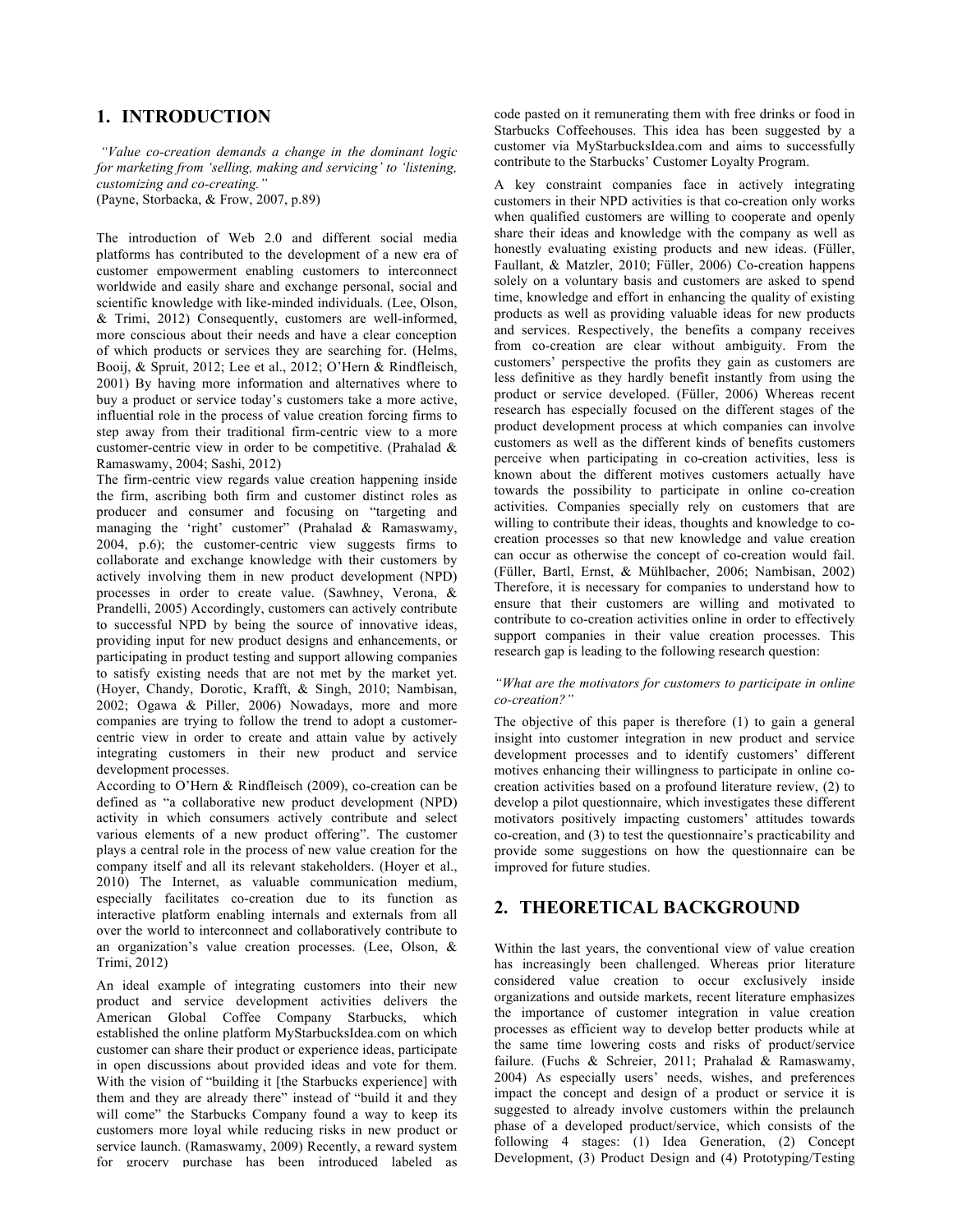## **1. INTRODUCTION**

*"Value co-creation demands a change in the dominant logic for marketing from 'selling, making and servicing' to 'listening, customizing and co-creating."*

(Payne, Storbacka, & Frow, 2007, p.89)

The introduction of Web 2.0 and different social media platforms has contributed to the development of a new era of customer empowerment enabling customers to interconnect worldwide and easily share and exchange personal, social and scientific knowledge with like-minded individuals. (Lee, Olson, & Trimi, 2012) Consequently, customers are well-informed, more conscious about their needs and have a clear conception of which products or services they are searching for. (Helms, Booij, & Spruit, 2012; Lee et al., 2012; O'Hern & Rindfleisch, 2001) By having more information and alternatives where to buy a product or service today's customers take a more active, influential role in the process of value creation forcing firms to step away from their traditional firm-centric view to a more customer-centric view in order to be competitive. (Prahalad & Ramaswamy, 2004; Sashi, 2012)

The firm-centric view regards value creation happening inside the firm, ascribing both firm and customer distinct roles as producer and consumer and focusing on "targeting and managing the 'right' customer" (Prahalad & Ramaswamy, 2004, p.6); the customer-centric view suggests firms to collaborate and exchange knowledge with their customers by actively involving them in new product development (NPD) processes in order to create value. (Sawhney, Verona, & Prandelli, 2005) Accordingly, customers can actively contribute to successful NPD by being the source of innovative ideas, providing input for new product designs and enhancements, or participating in product testing and support allowing companies to satisfy existing needs that are not met by the market yet. (Hoyer, Chandy, Dorotic, Krafft, & Singh, 2010; Nambisan, 2002; Ogawa & Piller, 2006) Nowadays, more and more companies are trying to follow the trend to adopt a customercentric view in order to create and attain value by actively integrating customers in their new product and service development processes.

According to O'Hern & Rindfleisch (2009), co-creation can be defined as "a collaborative new product development (NPD) activity in which consumers actively contribute and select various elements of a new product offering". The customer plays a central role in the process of new value creation for the company itself and all its relevant stakeholders. (Hoyer et al., 2010) The Internet, as valuable communication medium, especially facilitates co-creation due to its function as interactive platform enabling internals and externals from all over the world to interconnect and collaboratively contribute to an organization's value creation processes. (Lee, Olson, & Trimi, 2012)

An ideal example of integrating customers into their new product and service development activities delivers the American Global Coffee Company Starbucks, which established the online platform MyStarbucksIdea.com on which customer can share their product or experience ideas, participate in open discussions about provided ideas and vote for them. With the vision of "building it [the Starbucks experience] with them and they are already there" instead of "build it and they will come" the Starbucks Company found a way to keep its customers more loyal while reducing risks in new product or service launch. (Ramaswamy, 2009) Recently, a reward system for grocery purchase has been introduced labeled as

code pasted on it remunerating them with free drinks or food in Starbucks Coffeehouses. This idea has been suggested by a customer via MyStarbucksIdea.com and aims to successfully contribute to the Starbucks' Customer Loyalty Program.

A key constraint companies face in actively integrating customers in their NPD activities is that co-creation only works when qualified customers are willing to cooperate and openly share their ideas and knowledge with the company as well as honestly evaluating existing products and new ideas. (Füller, Faullant, & Matzler, 2010; Füller, 2006) Co-creation happens solely on a voluntary basis and customers are asked to spend time, knowledge and effort in enhancing the quality of existing products as well as providing valuable ideas for new products and services. Respectively, the benefits a company receives from co-creation are clear without ambiguity. From the customers' perspective the profits they gain as customers are less definitive as they hardly benefit instantly from using the product or service developed. (Füller, 2006) Whereas recent research has especially focused on the different stages of the product development process at which companies can involve customers as well as the different kinds of benefits customers perceive when participating in co-creation activities, less is known about the different motives customers actually have towards the possibility to participate in online co-creation activities. Companies specially rely on customers that are willing to contribute their ideas, thoughts and knowledge to cocreation processes so that new knowledge and value creation can occur as otherwise the concept of co-creation would fail. (Füller, Bartl, Ernst, & Mühlbacher, 2006; Nambisan, 2002) Therefore, it is necessary for companies to understand how to ensure that their customers are willing and motivated to contribute to co-creation activities online in order to effectively support companies in their value creation processes. This research gap is leading to the following research question:

#### *"What are the motivators for customers to participate in online co-creation?"*

The objective of this paper is therefore (1) to gain a general insight into customer integration in new product and service development processes and to identify customers' different motives enhancing their willingness to participate in online cocreation activities based on a profound literature review, (2) to develop a pilot questionnaire, which investigates these different motivators positively impacting customers' attitudes towards co-creation, and (3) to test the questionnaire's practicability and provide some suggestions on how the questionnaire can be improved for future studies.

## **2. THEORETICAL BACKGROUND**

Within the last years, the conventional view of value creation has increasingly been challenged. Whereas prior literature considered value creation to occur exclusively inside organizations and outside markets, recent literature emphasizes the importance of customer integration in value creation processes as efficient way to develop better products while at the same time lowering costs and risks of product/service failure. (Fuchs & Schreier, 2011; Prahalad & Ramaswamy, 2004) As especially users' needs, wishes, and preferences impact the concept and design of a product or service it is suggested to already involve customers within the prelaunch phase of a developed product/service, which consists of the following 4 stages: (1) Idea Generation, (2) Concept Development, (3) Product Design and (4) Prototyping/Testing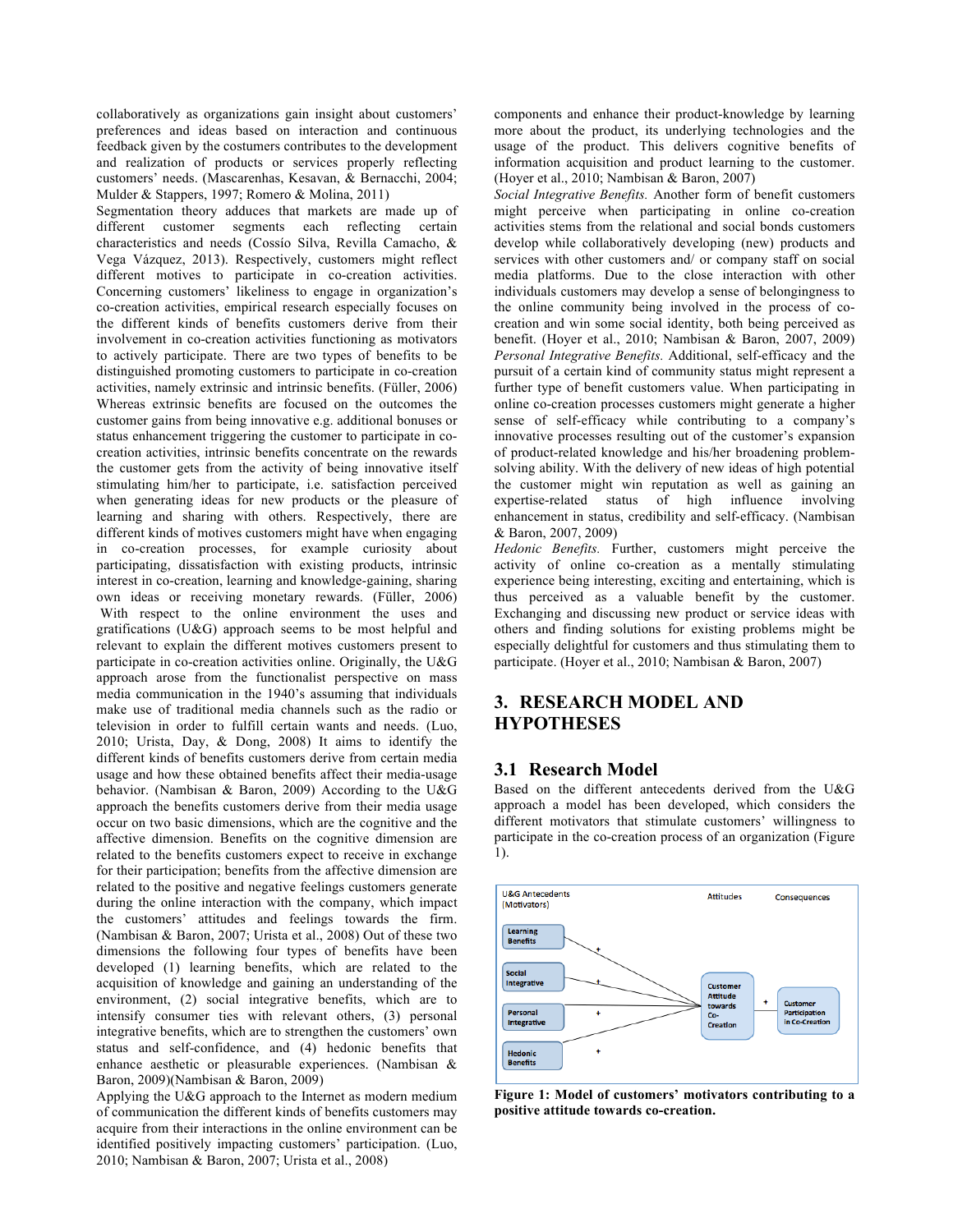collaboratively as organizations gain insight about customers' preferences and ideas based on interaction and continuous feedback given by the costumers contributes to the development and realization of products or services properly reflecting customers' needs. (Mascarenhas, Kesavan, & Bernacchi, 2004; Mulder & Stappers, 1997; Romero & Molina, 2011)

Segmentation theory adduces that markets are made up of different customer segments each reflecting certain characteristics and needs (Cossío Silva, Revilla Camacho, & Vega Vázquez, 2013). Respectively, customers might reflect different motives to participate in co-creation activities. Concerning customers' likeliness to engage in organization's co-creation activities, empirical research especially focuses on the different kinds of benefits customers derive from their involvement in co-creation activities functioning as motivators to actively participate. There are two types of benefits to be distinguished promoting customers to participate in co-creation activities, namely extrinsic and intrinsic benefits. (Füller, 2006) Whereas extrinsic benefits are focused on the outcomes the customer gains from being innovative e.g. additional bonuses or status enhancement triggering the customer to participate in cocreation activities, intrinsic benefits concentrate on the rewards the customer gets from the activity of being innovative itself stimulating him/her to participate, i.e. satisfaction perceived when generating ideas for new products or the pleasure of learning and sharing with others. Respectively, there are different kinds of motives customers might have when engaging in co-creation processes, for example curiosity about participating, dissatisfaction with existing products, intrinsic interest in co-creation, learning and knowledge-gaining, sharing own ideas or receiving monetary rewards. (Füller, 2006) With respect to the online environment the uses and gratifications (U&G) approach seems to be most helpful and relevant to explain the different motives customers present to participate in co-creation activities online. Originally, the U&G approach arose from the functionalist perspective on mass media communication in the 1940's assuming that individuals make use of traditional media channels such as the radio or television in order to fulfill certain wants and needs. (Luo, 2010; Urista, Day, & Dong, 2008) It aims to identify the different kinds of benefits customers derive from certain media usage and how these obtained benefits affect their media-usage behavior. (Nambisan & Baron, 2009) According to the U&G approach the benefits customers derive from their media usage occur on two basic dimensions, which are the cognitive and the affective dimension. Benefits on the cognitive dimension are related to the benefits customers expect to receive in exchange for their participation; benefits from the affective dimension are related to the positive and negative feelings customers generate during the online interaction with the company, which impact the customers' attitudes and feelings towards the firm. (Nambisan & Baron, 2007; Urista et al., 2008) Out of these two dimensions the following four types of benefits have been developed (1) learning benefits, which are related to the acquisition of knowledge and gaining an understanding of the environment, (2) social integrative benefits, which are to intensify consumer ties with relevant others, (3) personal integrative benefits, which are to strengthen the customers' own status and self-confidence, and (4) hedonic benefits that enhance aesthetic or pleasurable experiences. (Nambisan & Baron, 2009)(Nambisan & Baron, 2009)

Applying the U&G approach to the Internet as modern medium of communication the different kinds of benefits customers may acquire from their interactions in the online environment can be identified positively impacting customers' participation. (Luo, 2010; Nambisan & Baron, 2007; Urista et al., 2008)

components and enhance their product-knowledge by learning more about the product, its underlying technologies and the usage of the product. This delivers cognitive benefits of information acquisition and product learning to the customer. (Hoyer et al., 2010; Nambisan & Baron, 2007)

*Social Integrative Benefits.* Another form of benefit customers might perceive when participating in online co-creation activities stems from the relational and social bonds customers develop while collaboratively developing (new) products and services with other customers and/ or company staff on social media platforms. Due to the close interaction with other individuals customers may develop a sense of belongingness to the online community being involved in the process of cocreation and win some social identity, both being perceived as benefit. (Hoyer et al., 2010; Nambisan & Baron, 2007, 2009) *Personal Integrative Benefits.* Additional, self-efficacy and the pursuit of a certain kind of community status might represent a further type of benefit customers value. When participating in online co-creation processes customers might generate a higher sense of self-efficacy while contributing to a company's innovative processes resulting out of the customer's expansion of product-related knowledge and his/her broadening problemsolving ability. With the delivery of new ideas of high potential the customer might win reputation as well as gaining an expertise-related status of high influence involving enhancement in status, credibility and self-efficacy. (Nambisan & Baron, 2007, 2009)

*Hedonic Benefits.* Further, customers might perceive the activity of online co-creation as a mentally stimulating experience being interesting, exciting and entertaining, which is thus perceived as a valuable benefit by the customer. Exchanging and discussing new product or service ideas with others and finding solutions for existing problems might be especially delightful for customers and thus stimulating them to participate. (Hoyer et al., 2010; Nambisan & Baron, 2007)

# **3. RESEARCH MODEL AND HYPOTHESES**

## **3.1 Research Model**

Based on the different antecedents derived from the U&G approach a model has been developed, which considers the different motivators that stimulate customers' willingness to participate in the co-creation process of an organization (Figure 1).



**Figure 1: Model of customers' motivators contributing to a positive attitude towards co-creation.**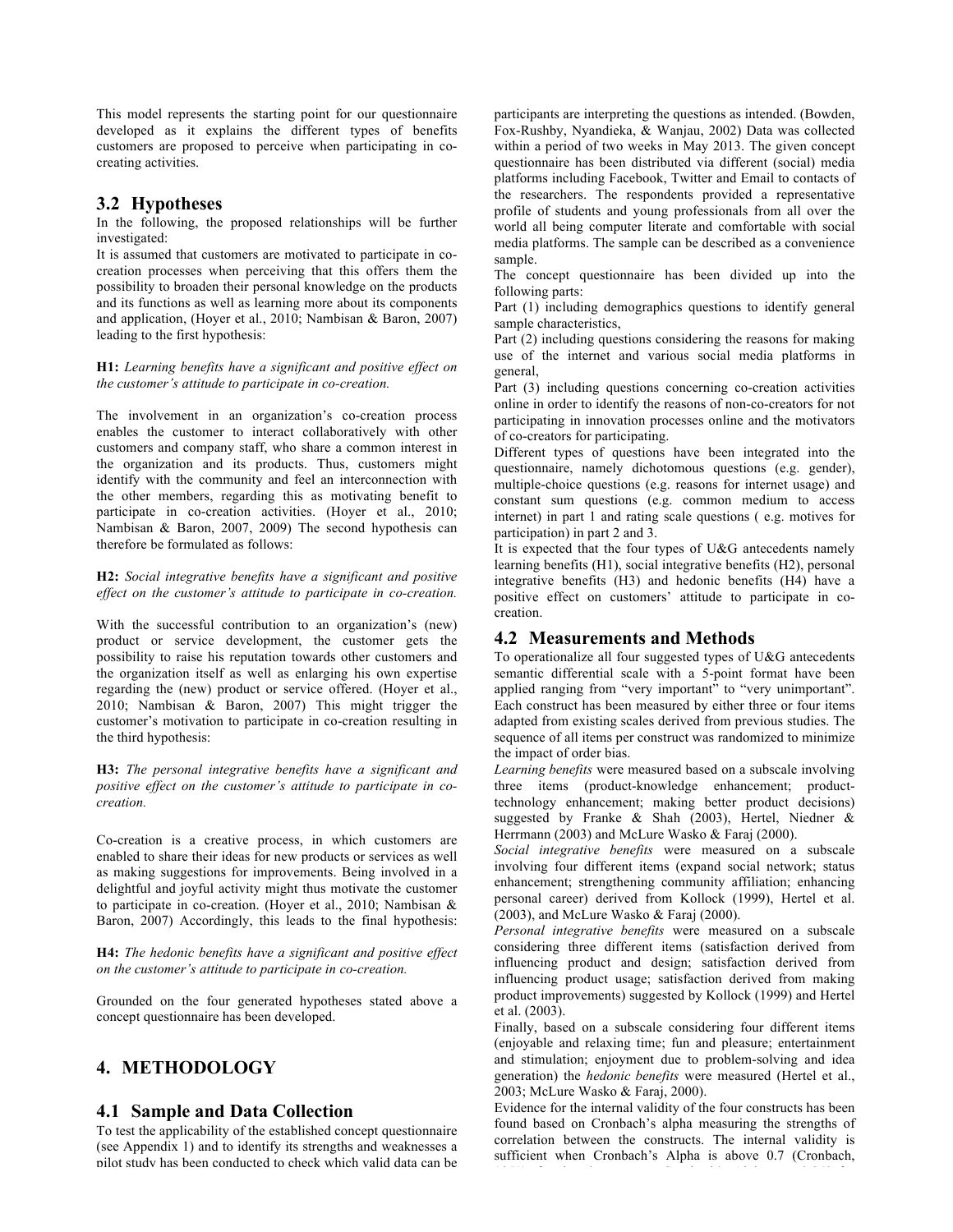This model represents the starting point for our questionnaire developed as it explains the different types of benefits customers are proposed to perceive when participating in cocreating activities.

#### **3.2 Hypotheses**

In the following, the proposed relationships will be further investigated:

It is assumed that customers are motivated to participate in cocreation processes when perceiving that this offers them the possibility to broaden their personal knowledge on the products and its functions as well as learning more about its components and application, (Hoyer et al., 2010; Nambisan & Baron, 2007) leading to the first hypothesis:

**H1:** *Learning benefits have a significant and positive effect on the customer's attitude to participate in co-creation.*

The involvement in an organization's co-creation process enables the customer to interact collaboratively with other customers and company staff, who share a common interest in the organization and its products. Thus, customers might identify with the community and feel an interconnection with the other members, regarding this as motivating benefit to participate in co-creation activities. (Hoyer et al., 2010; Nambisan & Baron, 2007, 2009) The second hypothesis can therefore be formulated as follows:

**H2:** *Social integrative benefits have a significant and positive effect on the customer's attitude to participate in co-creation.*

With the successful contribution to an organization's (new) product or service development, the customer gets the possibility to raise his reputation towards other customers and the organization itself as well as enlarging his own expertise regarding the (new) product or service offered. (Hoyer et al., 2010; Nambisan & Baron, 2007) This might trigger the customer's motivation to participate in co-creation resulting in the third hypothesis:

**H3:** *The personal integrative benefits have a significant and positive effect on the customer's attitude to participate in cocreation.*

Co-creation is a creative process, in which customers are enabled to share their ideas for new products or services as well as making suggestions for improvements. Being involved in a delightful and joyful activity might thus motivate the customer to participate in co-creation. (Hoyer et al., 2010; Nambisan & Baron, 2007) Accordingly, this leads to the final hypothesis:

**H4:** *The hedonic benefits have a significant and positive effect on the customer's attitude to participate in co-creation.*

Grounded on the four generated hypotheses stated above a concept questionnaire has been developed.

## **4. METHODOLOGY**

### **4.1 Sample and Data Collection**

To test the applicability of the established concept questionnaire (see Appendix 1) and to identify its strengths and weaknesses a pilot study has been conducted to check which valid data can be

participants are interpreting the questions as intended. (Bowden, Fox-Rushby, Nyandieka, & Wanjau, 2002) Data was collected within a period of two weeks in May 2013. The given concept questionnaire has been distributed via different (social) media platforms including Facebook, Twitter and Email to contacts of the researchers. The respondents provided a representative profile of students and young professionals from all over the world all being computer literate and comfortable with social media platforms. The sample can be described as a convenience sample.

The concept questionnaire has been divided up into the following parts:

Part (1) including demographics questions to identify general sample characteristics,

Part (2) including questions considering the reasons for making use of the internet and various social media platforms in general,

Part (3) including questions concerning co-creation activities online in order to identify the reasons of non-co-creators for not participating in innovation processes online and the motivators of co-creators for participating.

Different types of questions have been integrated into the questionnaire, namely dichotomous questions (e.g. gender), multiple-choice questions (e.g. reasons for internet usage) and constant sum questions (e.g. common medium to access internet) in part 1 and rating scale questions ( e.g. motives for participation) in part 2 and 3.

It is expected that the four types of U&G antecedents namely learning benefits (H1), social integrative benefits (H2), personal integrative benefits (H3) and hedonic benefits (H4) have a positive effect on customers' attitude to participate in cocreation.

#### **4.2 Measurements and Methods**

To operationalize all four suggested types of U&G antecedents semantic differential scale with a 5-point format have been applied ranging from "very important" to "very unimportant". Each construct has been measured by either three or four items adapted from existing scales derived from previous studies. The sequence of all items per construct was randomized to minimize the impact of order bias.

*Learning benefits* were measured based on a subscale involving three items (product-knowledge enhancement; producttechnology enhancement; making better product decisions) suggested by Franke & Shah (2003), Hertel, Niedner & Herrmann (2003) and McLure Wasko & Faraj (2000).

*Social integrative benefits* were measured on a subscale involving four different items (expand social network; status enhancement; strengthening community affiliation; enhancing personal career) derived from Kollock (1999), Hertel et al. (2003), and McLure Wasko & Faraj (2000).

*Personal integrative benefits* were measured on a subscale considering three different items (satisfaction derived from influencing product and design; satisfaction derived from influencing product usage; satisfaction derived from making product improvements) suggested by Kollock (1999) and Hertel et al. (2003).

Finally, based on a subscale considering four different items (enjoyable and relaxing time; fun and pleasure; entertainment and stimulation; enjoyment due to problem-solving and idea generation) the *hedonic benefits* were measured (Hertel et al., 2003; McLure Wasko & Faraj, 2000).

Evidence for the internal validity of the four constructs has been found based on Cronbach's alpha measuring the strengths of correlation between the constructs. The internal validity is sufficient when Cronbach's Alpha is above 0.7 (Cronbach,

 $1951$ ); for the given survey Cronbach's Alpha was  $1951$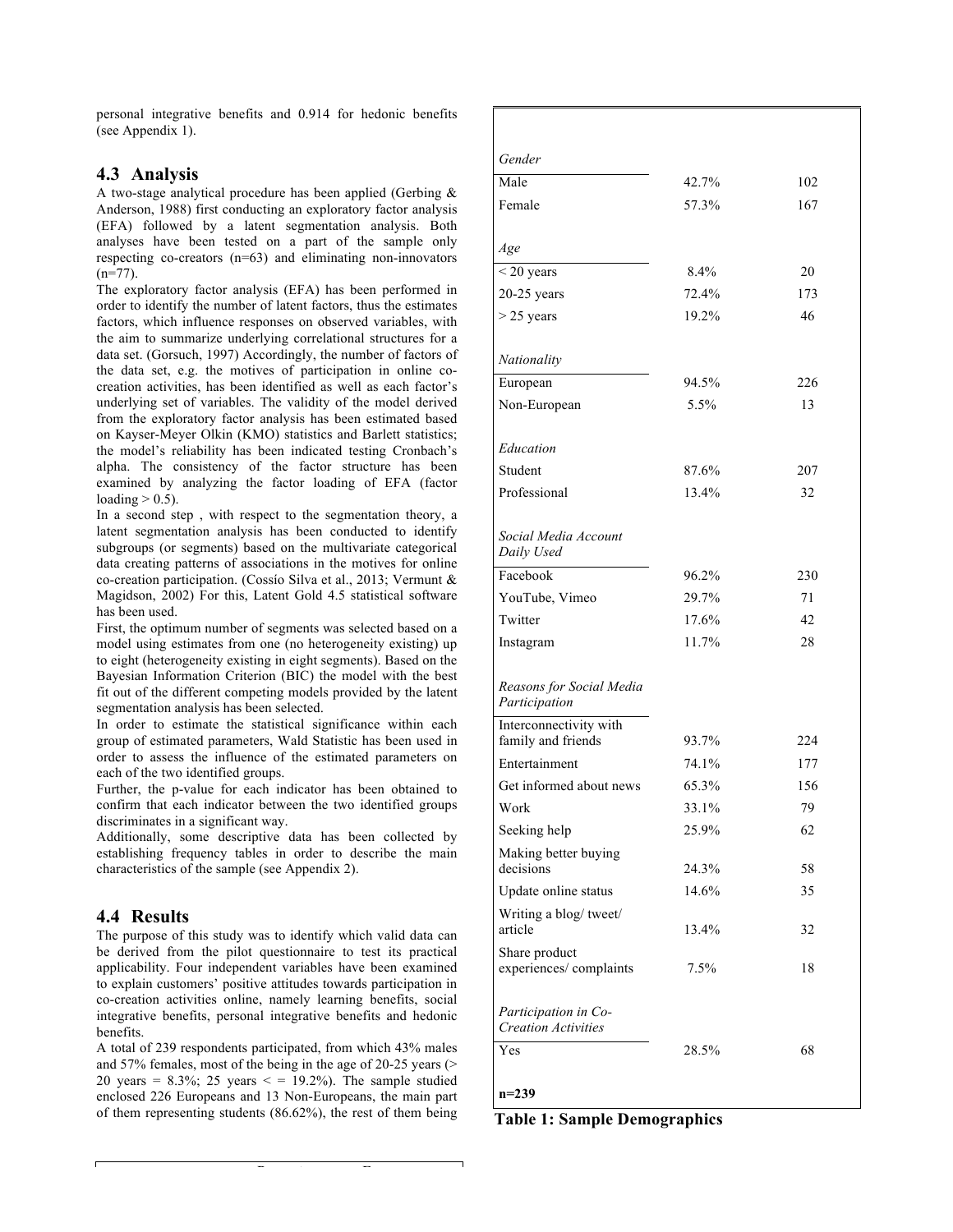personal integrative benefits and 0.914 for hedonic benefits (see Appendix 1).

### **4.3 Analysis**

A two-stage analytical procedure has been applied (Gerbing & Anderson, 1988) first conducting an exploratory factor analysis (EFA) followed by a latent segmentation analysis. Both analyses have been tested on a part of the sample only respecting co-creators (n=63) and eliminating non-innovators  $(n=77)$ .

The exploratory factor analysis (EFA) has been performed in order to identify the number of latent factors, thus the estimates factors, which influence responses on observed variables, with the aim to summarize underlying correlational structures for a data set. (Gorsuch, 1997) Accordingly, the number of factors of the data set, e.g. the motives of participation in online cocreation activities, has been identified as well as each factor's underlying set of variables. The validity of the model derived from the exploratory factor analysis has been estimated based on Kayser-Meyer Olkin (KMO) statistics and Barlett statistics; the model's reliability has been indicated testing Cronbach's alpha. The consistency of the factor structure has been examined by analyzing the factor loading of EFA (factor loading  $> 0.5$ ).

In a second step , with respect to the segmentation theory, a latent segmentation analysis has been conducted to identify subgroups (or segments) based on the multivariate categorical data creating patterns of associations in the motives for online co-creation participation. (Cossío Silva et al., 2013; Vermunt & Magidson, 2002) For this, Latent Gold 4.5 statistical software has been used.

First, the optimum number of segments was selected based on a model using estimates from one (no heterogeneity existing) up to eight (heterogeneity existing in eight segments). Based on the Bayesian Information Criterion (BIC) the model with the best fit out of the different competing models provided by the latent segmentation analysis has been selected.

In order to estimate the statistical significance within each group of estimated parameters, Wald Statistic has been used in order to assess the influence of the estimated parameters on each of the two identified groups.

Further, the p-value for each indicator has been obtained to confirm that each indicator between the two identified groups discriminates in a significant way.

Additionally, some descriptive data has been collected by establishing frequency tables in order to describe the main characteristics of the sample (see Appendix 2).

## **4.4 Results**

The purpose of this study was to identify which valid data can be derived from the pilot questionnaire to test its practical applicability. Four independent variables have been examined to explain customers' positive attitudes towards participation in co-creation activities online, namely learning benefits, social integrative benefits, personal integrative benefits and hedonic benefits.

A total of 239 respondents participated, from which 43% males and 57% females, most of the being in the age of 20-25 years (> 20 years =  $8.3\%$ ; 25 years < = 19.2%). The sample studied enclosed 226 Europeans and 13 Non-Europeans, the main part of them representing students (86.62%), the rest of them being

| Gender                                             |       |     |
|----------------------------------------------------|-------|-----|
| Male                                               | 42.7% | 102 |
| Female                                             | 57.3% | 167 |
| Age                                                |       |     |
| $<$ 20 years                                       | 8.4%  | 20  |
| $20-25$ years                                      | 72.4% | 173 |
| $>$ 25 years                                       | 19.2% | 46  |
| Nationality                                        |       |     |
| European                                           | 94.5% | 226 |
| Non-European                                       | 5.5%  | 13  |
| Education                                          |       |     |
| Student                                            | 87.6% | 207 |
| Professional                                       | 13.4% | 32  |
| Social Media Account<br>Daily Used                 |       |     |
| Facebook                                           | 96.2% | 230 |
| YouTube, Vimeo                                     | 29.7% | 71  |
| Twitter                                            | 17.6% | 42  |
| Instagram                                          | 11.7% | 28  |
| Reasons for Social Media<br>Participation          |       |     |
| Interconnectivity with<br>family and friends       | 93.7% | 224 |
| Entertainment                                      | 74.1% | 177 |
| Get informed about news                            | 65.3% | 156 |
| Work                                               | 33.1% | 79  |
| Seeking help                                       | 25.9% | 62  |
| Making better buying<br>decisions                  | 24.3% | 58  |
| Update online status                               | 14.6% | 35  |
| Writing a blog/ tweet/<br>article                  | 13.4% | 32  |
| Share product<br>experiences/complaints            | 7.5%  | 18  |
| Participation in Co-<br><b>Creation Activities</b> |       |     |
| Yes                                                | 28.5% | 68  |
| $n=239$                                            |       |     |

**Table 1: Sample Demographics**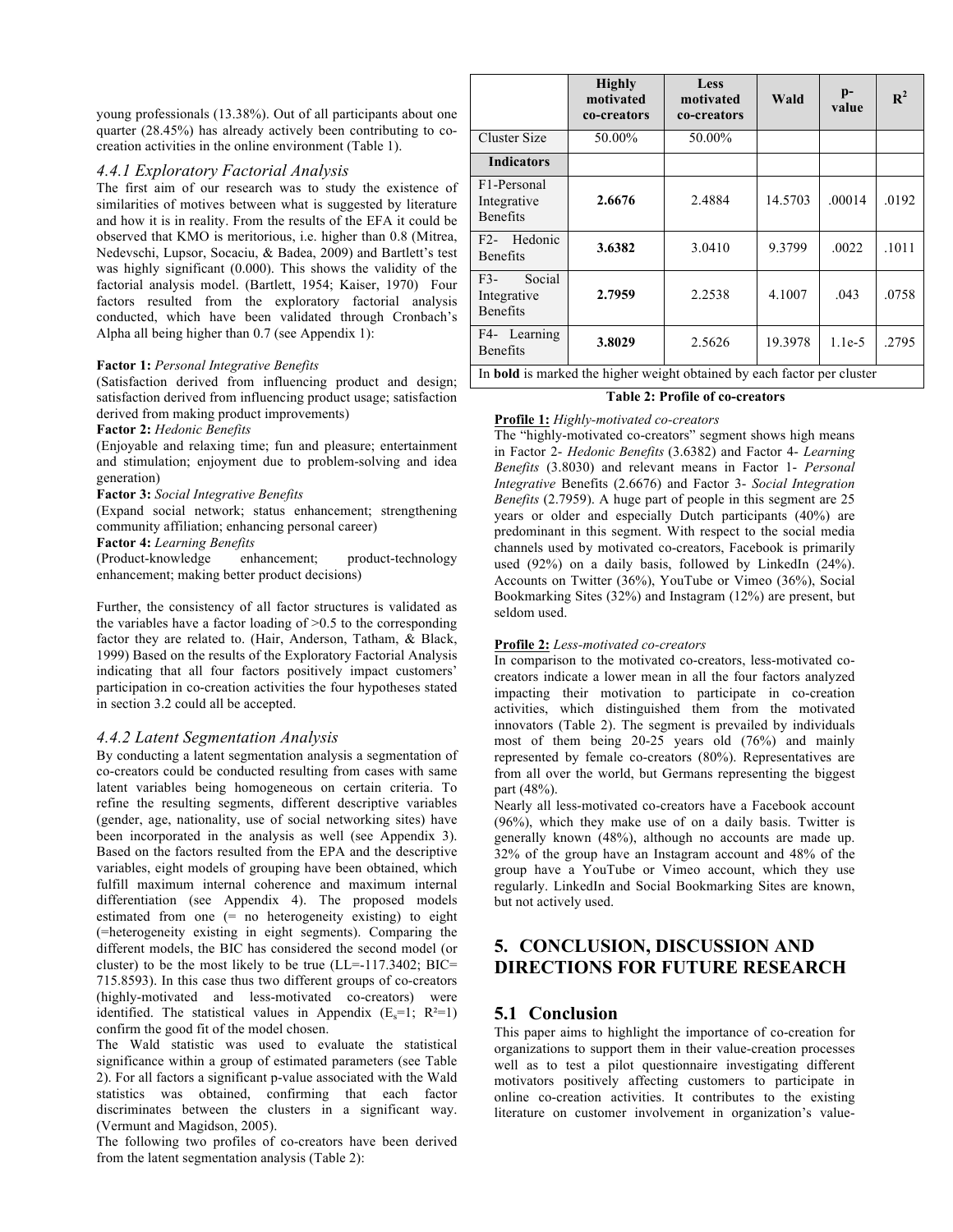young professionals (13.38%). Out of all participants about one quarter (28.45%) has already actively been contributing to cocreation activities in the online environment (Table 1).

#### *4.4.1 Exploratory Factorial Analysis*

The first aim of our research was to study the existence of similarities of motives between what is suggested by literature and how it is in reality. From the results of the EFA it could be observed that KMO is meritorious, i.e. higher than 0.8 (Mitrea, Nedevschi, Lupsor, Socaciu, & Badea, 2009) and Bartlett's test was highly significant (0.000). This shows the validity of the factorial analysis model. (Bartlett, 1954; Kaiser, 1970) Four factors resulted from the exploratory factorial analysis conducted, which have been validated through Cronbach's Alpha all being higher than 0.7 (see Appendix 1):

#### **Factor 1:** *Personal Integrative Benefits*

(Satisfaction derived from influencing product and design; satisfaction derived from influencing product usage; satisfaction derived from making product improvements)

**Factor 2:** *Hedonic Benefits* 

(Enjoyable and relaxing time; fun and pleasure; entertainment and stimulation; enjoyment due to problem-solving and idea generation)

**Factor 3:** *Social Integrative Benefits*

(Expand social network; status enhancement; strengthening community affiliation; enhancing personal career)

**Factor 4:** *Learning Benefits*

(Product-knowledge enhancement; product-technology enhancement; making better product decisions)

Further, the consistency of all factor structures is validated as the variables have a factor loading of >0.5 to the corresponding factor they are related to. (Hair, Anderson, Tatham, & Black, 1999) Based on the results of the Exploratory Factorial Analysis indicating that all four factors positively impact customers' participation in co-creation activities the four hypotheses stated in section 3.2 could all be accepted.

#### *4.4.2 Latent Segmentation Analysis*

By conducting a latent segmentation analysis a segmentation of co-creators could be conducted resulting from cases with same latent variables being homogeneous on certain criteria. To refine the resulting segments, different descriptive variables (gender, age, nationality, use of social networking sites) have been incorporated in the analysis as well (see Appendix 3). Based on the factors resulted from the EPA and the descriptive variables, eight models of grouping have been obtained, which fulfill maximum internal coherence and maximum internal differentiation (see Appendix 4). The proposed models estimated from one (= no heterogeneity existing) to eight (=heterogeneity existing in eight segments). Comparing the different models, the BIC has considered the second model (or cluster) to be the most likely to be true  $(LL=-117.3402; BIC=$ 715.8593). In this case thus two different groups of co-creators (highly-motivated and less-motivated co-creators) were identified. The statistical values in Appendix  $(E_s=1; R^2=1)$ confirm the good fit of the model chosen.

The Wald statistic was used to evaluate the statistical significance within a group of estimated parameters (see Table 2). For all factors a significant p-value associated with the Wald statistics was obtained, confirming that each factor discriminates between the clusters in a significant way. (Vermunt and Magidson, 2005).

The following two profiles of co-creators have been derived from the latent segmentation analysis (Table 2):

|                                                            | <b>Highly</b><br>motivated<br>co-creators                                      | Less<br>motivated<br>co-creators | Wald    | $p-$<br>value | $\mathbf{R}^2$ |
|------------------------------------------------------------|--------------------------------------------------------------------------------|----------------------------------|---------|---------------|----------------|
| Cluster Size                                               | 50.00%                                                                         | 50.00%                           |         |               |                |
| <b>Indicators</b>                                          |                                                                                |                                  |         |               |                |
| F <sub>1</sub> -Personal<br>Integrative<br><b>Benefits</b> | 2.6676                                                                         | 2.4884                           | 14.5703 | .00014        | .0192          |
| Hedonic<br>$F2-$<br><b>Benefits</b>                        | 3.6382                                                                         | 3.0410                           | 9.3799  | .0022         | .1011          |
| Social<br>F3-<br>Integrative<br><b>Benefits</b>            | 2.7959                                                                         | 2.2538                           | 4.1007  | .043          | .0758          |
| F4- Learning<br>Benefits                                   | 3.8029                                                                         | 2.5626                           | 19.3978 | $1.1e-5$      | .2795          |
|                                                            | In <b>bold</b> is marked the higher weight obtained by each factor per cluster |                                  |         |               |                |

#### **Table 2: Profile of co-creators**

#### **Profile 1:** *Highly-motivated co-creators*

The "highly-motivated co-creators" segment shows high means in Factor 2- *Hedonic Benefits* (3.6382) and Factor 4- *Learning Benefits* (3.8030) and relevant means in Factor 1- *Personal Integrative* Benefits (2.6676) and Factor 3- *Social Integration Benefits* (2.7959). A huge part of people in this segment are 25 years or older and especially Dutch participants (40%) are predominant in this segment. With respect to the social media channels used by motivated co-creators, Facebook is primarily used (92%) on a daily basis, followed by LinkedIn (24%). Accounts on Twitter (36%), YouTube or Vimeo (36%), Social Bookmarking Sites (32%) and Instagram (12%) are present, but seldom used.

#### **Profile 2:** *Less-motivated co-creators*

In comparison to the motivated co-creators, less-motivated cocreators indicate a lower mean in all the four factors analyzed impacting their motivation to participate in co-creation activities, which distinguished them from the motivated innovators (Table 2). The segment is prevailed by individuals most of them being 20-25 years old (76%) and mainly represented by female co-creators (80%). Representatives are from all over the world, but Germans representing the biggest part (48%).

Nearly all less-motivated co-creators have a Facebook account (96%), which they make use of on a daily basis. Twitter is generally known (48%), although no accounts are made up. 32% of the group have an Instagram account and 48% of the group have a YouTube or Vimeo account, which they use regularly. LinkedIn and Social Bookmarking Sites are known, but not actively used.

# **5. CONCLUSION, DISCUSSION AND DIRECTIONS FOR FUTURE RESEARCH**

## **5.1 Conclusion**

This paper aims to highlight the importance of co-creation for organizations to support them in their value-creation processes well as to test a pilot questionnaire investigating different motivators positively affecting customers to participate in online co-creation activities. It contributes to the existing literature on customer involvement in organization's value-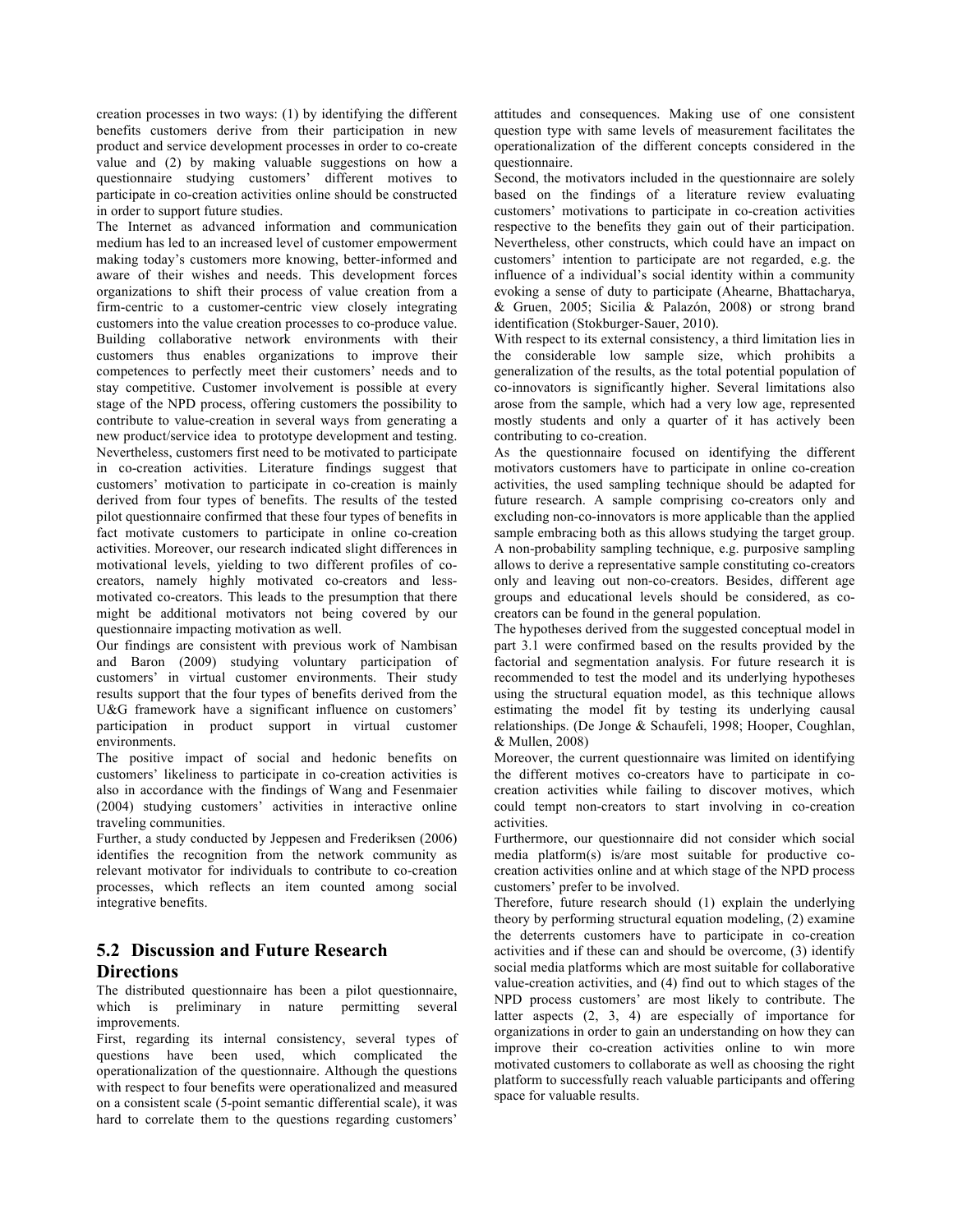creation processes in two ways: (1) by identifying the different benefits customers derive from their participation in new product and service development processes in order to co-create value and (2) by making valuable suggestions on how a questionnaire studying customers' different motives to participate in co-creation activities online should be constructed in order to support future studies.

The Internet as advanced information and communication medium has led to an increased level of customer empowerment making today's customers more knowing, better-informed and aware of their wishes and needs. This development forces organizations to shift their process of value creation from a firm-centric to a customer-centric view closely integrating customers into the value creation processes to co-produce value. Building collaborative network environments with their customers thus enables organizations to improve their competences to perfectly meet their customers' needs and to stay competitive. Customer involvement is possible at every stage of the NPD process, offering customers the possibility to contribute to value-creation in several ways from generating a new product/service idea to prototype development and testing. Nevertheless, customers first need to be motivated to participate in co-creation activities. Literature findings suggest that customers' motivation to participate in co-creation is mainly derived from four types of benefits. The results of the tested pilot questionnaire confirmed that these four types of benefits in fact motivate customers to participate in online co-creation activities. Moreover, our research indicated slight differences in motivational levels, yielding to two different profiles of cocreators, namely highly motivated co-creators and lessmotivated co-creators. This leads to the presumption that there might be additional motivators not being covered by our questionnaire impacting motivation as well.

Our findings are consistent with previous work of Nambisan and Baron (2009) studying voluntary participation of customers' in virtual customer environments. Their study results support that the four types of benefits derived from the U&G framework have a significant influence on customers' participation in product support in virtual customer environments.

The positive impact of social and hedonic benefits on customers' likeliness to participate in co-creation activities is also in accordance with the findings of Wang and Fesenmaier (2004) studying customers' activities in interactive online traveling communities.

Further, a study conducted by Jeppesen and Frederiksen (2006) identifies the recognition from the network community as relevant motivator for individuals to contribute to co-creation processes, which reflects an item counted among social integrative benefits.

# **5.2 Discussion and Future Research Directions**

The distributed questionnaire has been a pilot questionnaire, which is preliminary in nature permitting several improvements.

First, regarding its internal consistency, several types of questions have been used, which complicated the operationalization of the questionnaire. Although the questions with respect to four benefits were operationalized and measured on a consistent scale (5-point semantic differential scale), it was hard to correlate them to the questions regarding customers'

attitudes and consequences. Making use of one consistent question type with same levels of measurement facilitates the operationalization of the different concepts considered in the questionnaire.

Second, the motivators included in the questionnaire are solely based on the findings of a literature review evaluating customers' motivations to participate in co-creation activities respective to the benefits they gain out of their participation. Nevertheless, other constructs, which could have an impact on customers' intention to participate are not regarded, e.g. the influence of a individual's social identity within a community evoking a sense of duty to participate (Ahearne, Bhattacharya, & Gruen, 2005; Sicilia & Palazón, 2008) or strong brand identification (Stokburger-Sauer, 2010).

With respect to its external consistency, a third limitation lies in the considerable low sample size, which prohibits a generalization of the results, as the total potential population of co-innovators is significantly higher. Several limitations also arose from the sample, which had a very low age, represented mostly students and only a quarter of it has actively been contributing to co-creation.

As the questionnaire focused on identifying the different motivators customers have to participate in online co-creation activities, the used sampling technique should be adapted for future research. A sample comprising co-creators only and excluding non-co-innovators is more applicable than the applied sample embracing both as this allows studying the target group. A non-probability sampling technique, e.g. purposive sampling allows to derive a representative sample constituting co-creators only and leaving out non-co-creators. Besides, different age groups and educational levels should be considered, as cocreators can be found in the general population.

The hypotheses derived from the suggested conceptual model in part 3.1 were confirmed based on the results provided by the factorial and segmentation analysis. For future research it is recommended to test the model and its underlying hypotheses using the structural equation model, as this technique allows estimating the model fit by testing its underlying causal relationships. (De Jonge & Schaufeli, 1998; Hooper, Coughlan, & Mullen, 2008)

Moreover, the current questionnaire was limited on identifying the different motives co-creators have to participate in cocreation activities while failing to discover motives, which could tempt non-creators to start involving in co-creation activities.

Furthermore, our questionnaire did not consider which social media platform(s) is/are most suitable for productive cocreation activities online and at which stage of the NPD process customers' prefer to be involved.

Therefore, future research should (1) explain the underlying theory by performing structural equation modeling, (2) examine the deterrents customers have to participate in co-creation activities and if these can and should be overcome, (3) identify social media platforms which are most suitable for collaborative value-creation activities, and (4) find out to which stages of the NPD process customers' are most likely to contribute. The latter aspects (2, 3, 4) are especially of importance for organizations in order to gain an understanding on how they can improve their co-creation activities online to win more motivated customers to collaborate as well as choosing the right platform to successfully reach valuable participants and offering space for valuable results.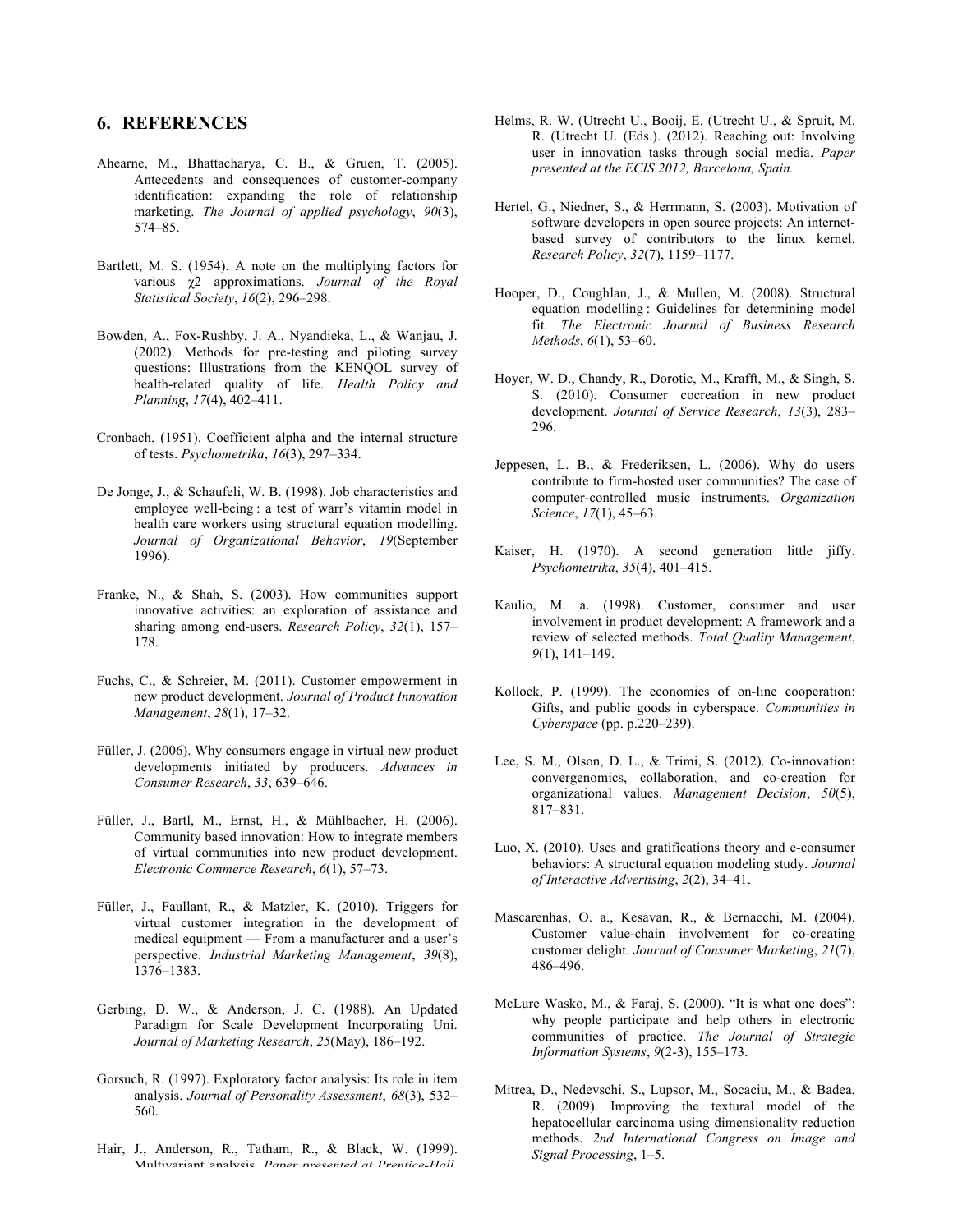## **6. REFERENCES**

- Ahearne, M., Bhattacharya, C. B., & Gruen, T. (2005). Antecedents and consequences of customer-company identification: expanding the role of relationship marketing. *The Journal of applied psychology*, *90*(3), 574–85.
- Bartlett, M. S. (1954). A note on the multiplying factors for various χ2 approximations. *Journal of the Royal Statistical Society*, *16*(2), 296–298.
- Bowden, A., Fox-Rushby, J. A., Nyandieka, L., & Wanjau, J. (2002). Methods for pre-testing and piloting survey questions: Illustrations from the KENQOL survey of health-related quality of life. *Health Policy and Planning*, *17*(4), 402–411.
- Cronbach. (1951). Coefficient alpha and the internal structure of tests. *Psychometrika*, *16*(3), 297–334.
- De Jonge, J., & Schaufeli, W. B. (1998). Job characteristics and employee well-being : a test of warr's vitamin model in health care workers using structural equation modelling. *Journal of Organizational Behavior*, *19*(September 1996).
- Franke, N., & Shah, S. (2003). How communities support innovative activities: an exploration of assistance and sharing among end-users. *Research Policy*, *32*(1), 157– 178.
- Fuchs, C., & Schreier, M. (2011). Customer empowerment in new product development. *Journal of Product Innovation Management*, *28*(1), 17–32.
- Füller, J. (2006). Why consumers engage in virtual new product developments initiated by producers. *Advances in Consumer Research*, *33*, 639–646.
- Füller, J., Bartl, M., Ernst, H., & Mühlbacher, H. (2006). Community based innovation: How to integrate members of virtual communities into new product development. *Electronic Commerce Research*, *6*(1), 57–73.
- Füller, J., Faullant, R., & Matzler, K. (2010). Triggers for virtual customer integration in the development of medical equipment — From a manufacturer and a user's perspective. *Industrial Marketing Management*, *39*(8), 1376–1383.
- Gerbing, D. W., & Anderson, J. C. (1988). An Updated Paradigm for Scale Development Incorporating Uni. *Journal of Marketing Research*, *25*(May), 186–192.
- Gorsuch, R. (1997). Exploratory factor analysis: Its role in item analysis. *Journal of Personality Assessment*, *68*(3), 532– 560.
- Hair, J., Anderson, R., Tatham, R., & Black, W. (1999). Multivariant analysis. *Paper presented at Prentice-Hall,*
- Helms, R. W. (Utrecht U., Booij, E. (Utrecht U., & Spruit, M. R. (Utrecht U. (Eds.). (2012). Reaching out: Involving user in innovation tasks through social media. *Paper presented at the ECIS 2012, Barcelona, Spain.*
- Hertel, G., Niedner, S., & Herrmann, S. (2003). Motivation of software developers in open source projects: An internetbased survey of contributors to the linux kernel. *Research Policy*, *32*(7), 1159–1177.
- Hooper, D., Coughlan, J., & Mullen, M. (2008). Structural equation modelling : Guidelines for determining model fit. *The Electronic Journal of Business Research Methods*, *6*(1), 53–60.
- Hoyer, W. D., Chandy, R., Dorotic, M., Krafft, M., & Singh, S. S. (2010). Consumer cocreation in new product development. *Journal of Service Research*, *13*(3), 283– 296.
- Jeppesen, L. B., & Frederiksen, L. (2006). Why do users contribute to firm-hosted user communities? The case of computer-controlled music instruments. *Organization Science*, *17*(1), 45–63.
- Kaiser, H. (1970). A second generation little jiffy. *Psychometrika*, *35*(4), 401–415.
- Kaulio, M. a. (1998). Customer, consumer and user involvement in product development: A framework and a review of selected methods. *Total Quality Management*, *9*(1), 141–149.
- Kollock, P. (1999). The economies of on-line cooperation: Gifts, and public goods in cyberspace. *Communities in Cyberspace* (pp. p.220–239).
- Lee, S. M., Olson, D. L., & Trimi, S. (2012). Co-innovation: convergenomics, collaboration, and co-creation for organizational values. *Management Decision*, *50*(5), 817–831.
- Luo, X. (2010). Uses and gratifications theory and e-consumer behaviors: A structural equation modeling study. *Journal of Interactive Advertising*, *2*(2), 34–41.
- Mascarenhas, O. a., Kesavan, R., & Bernacchi, M. (2004). Customer value-chain involvement for co-creating customer delight. *Journal of Consumer Marketing*, *21*(7), 486–496.
- McLure Wasko, M., & Faraj, S. (2000). "It is what one does": why people participate and help others in electronic communities of practice. *The Journal of Strategic Information Systems*, *9*(2-3), 155–173.
- Mitrea, D., Nedevschi, S., Lupsor, M., Socaciu, M., & Badea, R. (2009). Improving the textural model of the hepatocellular carcinoma using dimensionality reduction methods. *2nd International Congress on Image and Signal Processing*, 1–5.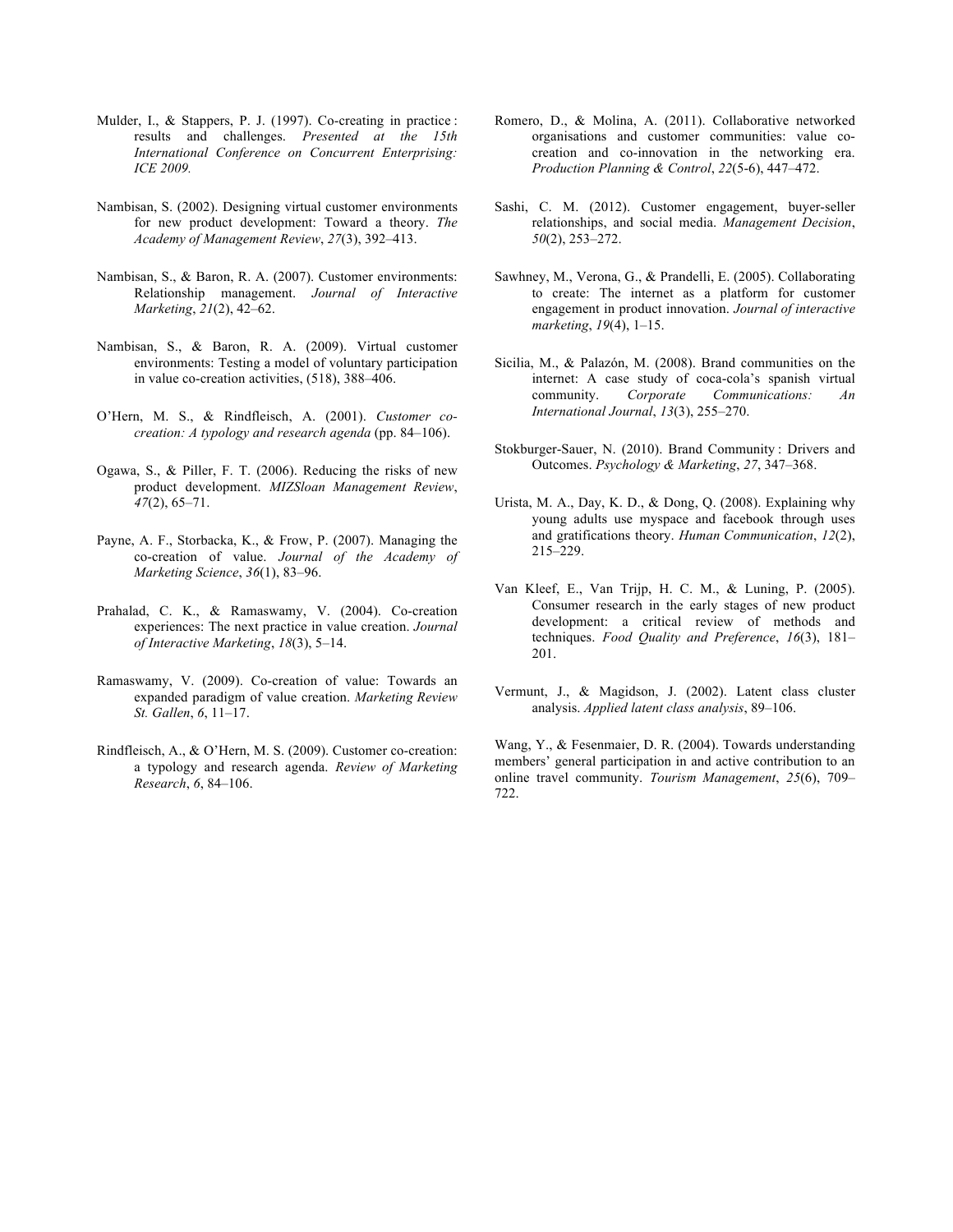- Mulder, I., & Stappers, P. J. (1997). Co-creating in practice : results and challenges. *Presented at the 15th International Conference on Concurrent Enterprising: ICE 2009.*
- Nambisan, S. (2002). Designing virtual customer environments for new product development: Toward a theory. *The Academy of Management Review*, *27*(3), 392–413.
- Nambisan, S., & Baron, R. A. (2007). Customer environments: Relationship management. *Journal of Interactive Marketing*, *21*(2), 42–62.
- Nambisan, S., & Baron, R. A. (2009). Virtual customer environments: Testing a model of voluntary participation in value co-creation activities, (518), 388–406.
- O'Hern, M. S., & Rindfleisch, A. (2001). *Customer cocreation: A typology and research agenda* (pp. 84–106).
- Ogawa, S., & Piller, F. T. (2006). Reducing the risks of new product development. *MIZSloan Management Review*, *47*(2), 65–71.
- Payne, A. F., Storbacka, K., & Frow, P. (2007). Managing the co-creation of value. *Journal of the Academy of Marketing Science*, *36*(1), 83–96.
- Prahalad, C. K., & Ramaswamy, V. (2004). Co-creation experiences: The next practice in value creation. *Journal of Interactive Marketing*, *18*(3), 5–14.
- Ramaswamy, V. (2009). Co-creation of value: Towards an expanded paradigm of value creation. *Marketing Review St. Gallen*, *6*, 11–17.
- Rindfleisch, A., & O'Hern, M. S. (2009). Customer co-creation: a typology and research agenda. *Review of Marketing Research*, *6*, 84–106.
- Romero, D., & Molina, A. (2011). Collaborative networked organisations and customer communities: value cocreation and co-innovation in the networking era. *Production Planning & Control*, *22*(5-6), 447–472.
- Sashi, C. M. (2012). Customer engagement, buyer-seller relationships, and social media. *Management Decision*, *50*(2), 253–272.
- Sawhney, M., Verona, G., & Prandelli, E. (2005). Collaborating to create: The internet as a platform for customer engagement in product innovation. *Journal of interactive marketing*, *19*(4), 1–15.
- Sicilia, M., & Palazón, M. (2008). Brand communities on the internet: A case study of coca-cola's spanish virtual community. *Corporate Communications: An International Journal*, *13*(3), 255–270.
- Stokburger-Sauer, N. (2010). Brand Community : Drivers and Outcomes. *Psychology & Marketing*, *27*, 347–368.
- Urista, M. A., Day, K. D., & Dong, Q. (2008). Explaining why young adults use myspace and facebook through uses and gratifications theory. *Human Communication*, *12*(2), 215–229.
- Van Kleef, E., Van Trijp, H. C. M., & Luning, P. (2005). Consumer research in the early stages of new product development: a critical review of methods and techniques. *Food Quality and Preference*, *16*(3), 181– 201.
- Vermunt, J., & Magidson, J. (2002). Latent class cluster analysis. *Applied latent class analysis*, 89–106.

Wang, Y., & Fesenmaier, D. R. (2004). Towards understanding members' general participation in and active contribution to an online travel community. *Tourism Management*, *25*(6), 709– 722.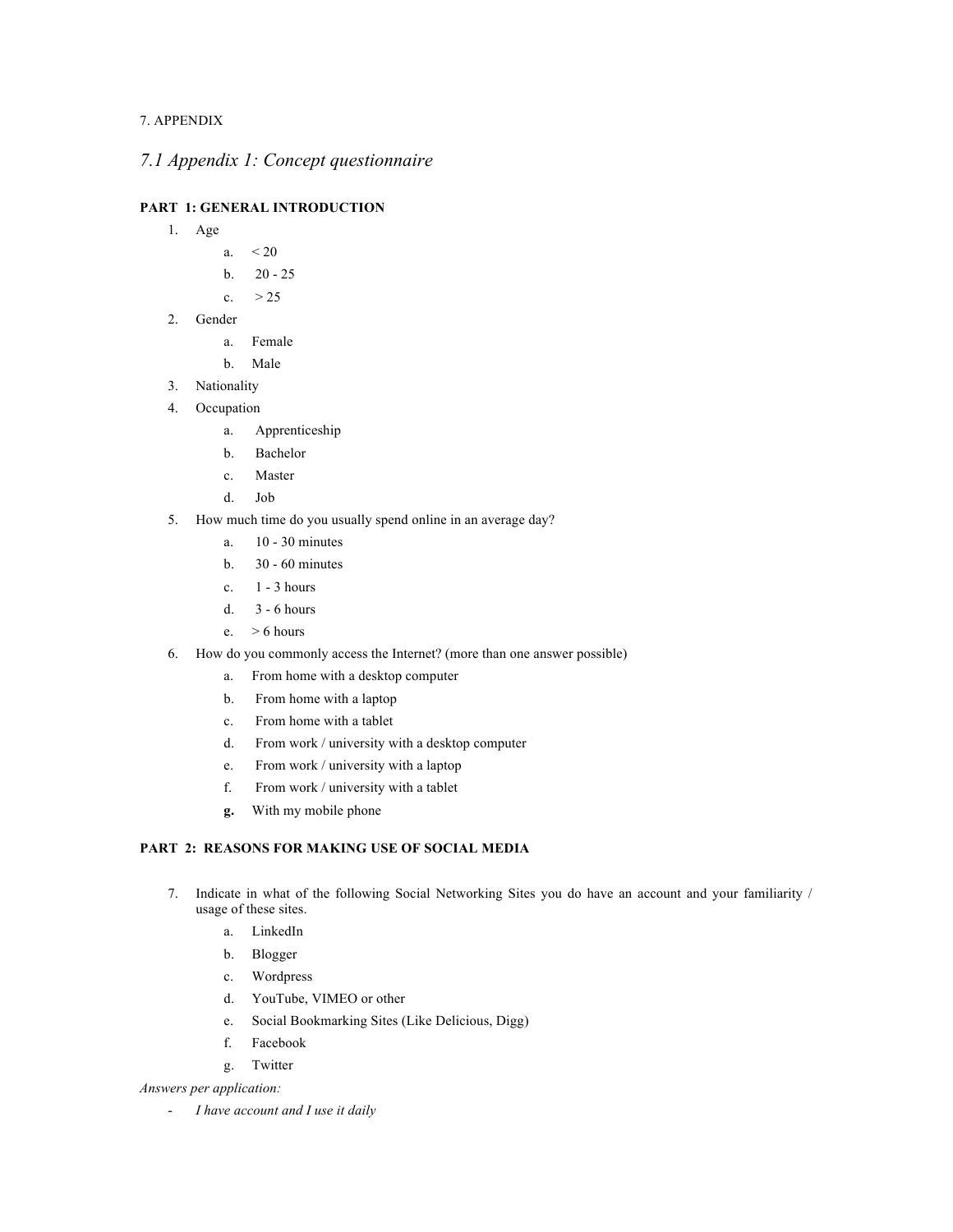## 7. APPENDIX

## *7.1 Appendix 1: Concept questionnaire*

## **PART 1: GENERAL INTRODUCTION**

- 1. Age
	- a.  $< 20$
	- b. 20 25
	- c.  $> 25$
- 2. Gender
	- a. Female
	- b. Male
- 3. Nationality
- 4. Occupation
	- a. Apprenticeship
	- b. Bachelor
	- c. Master
	- d. Job
- 5. How much time do you usually spend online in an average day?
	- a. 10 30 minutes
	- b. 30 60 minutes
	- c. 1 3 hours
	- d. 3 6 hours
	- e.  $> 6$  hours
- 6. How do you commonly access the Internet? (more than one answer possible)
	- a. From home with a desktop computer
	- b. From home with a laptop
	- c. From home with a tablet
	- d. From work / university with a desktop computer
	- e. From work / university with a laptop
	- f. From work / university with a tablet
	- **g.** With my mobile phone

## **PART 2: REASONS FOR MAKING USE OF SOCIAL MEDIA**

- 7. Indicate in what of the following Social Networking Sites you do have an account and your familiarity / usage of these sites.
	- a. LinkedIn
	- b. Blogger
	- c. Wordpress
	- d. YouTube, VIMEO or other
	- e. Social Bookmarking Sites (Like Delicious, Digg)
	- f. Facebook
	- g. Twitter

#### *Answers per application:*

- *I have account and I use it daily*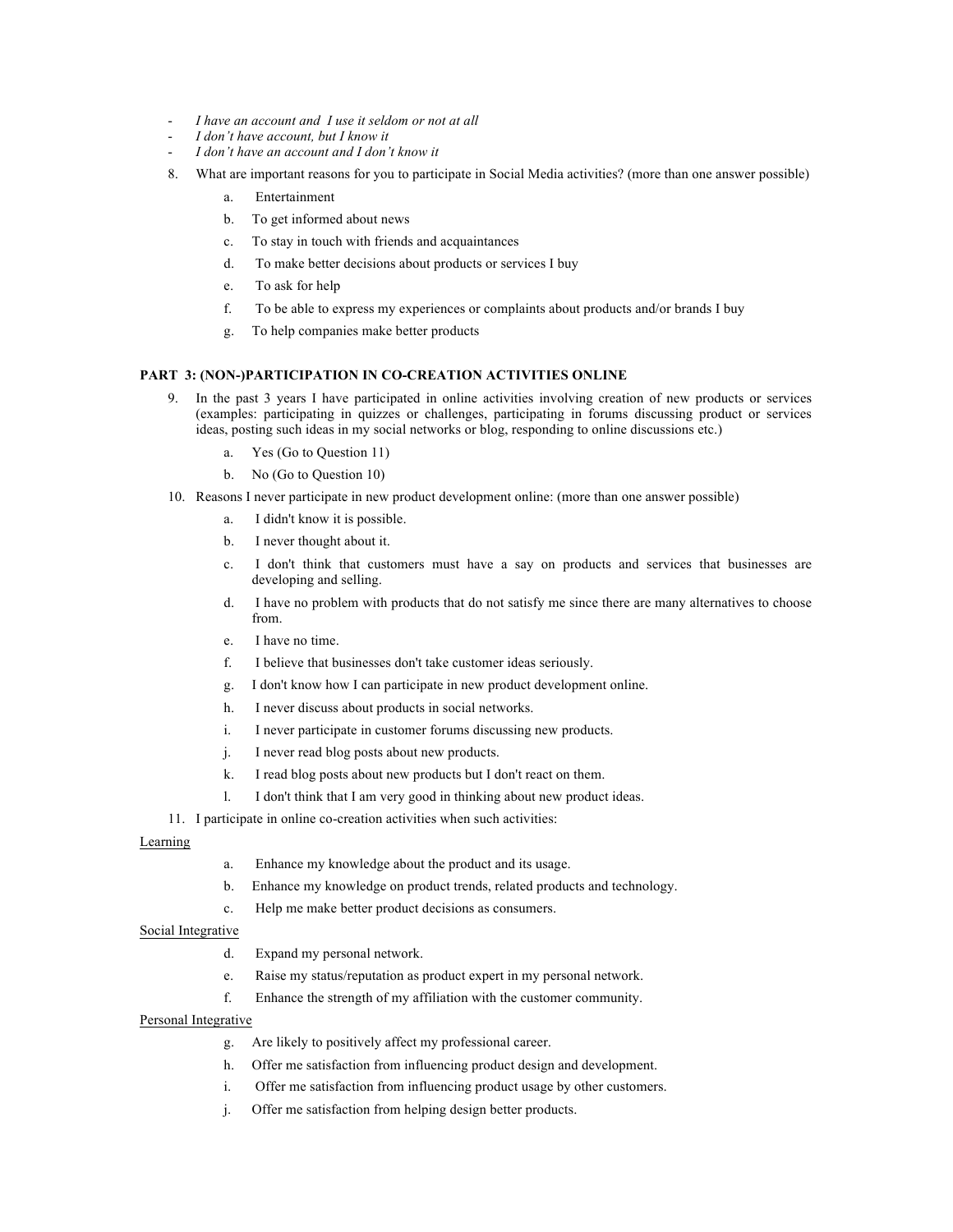- *I have an account and I use it seldom or not at all*
- *I don't have account, but I know it*
- *I don't have an account and I don't know it*
- 8. What are important reasons for you to participate in Social Media activities? (more than one answer possible)
	- a. Entertainment
	- b. To get informed about news
	- c. To stay in touch with friends and acquaintances
	- d. To make better decisions about products or services I buy
	- e. To ask for help
	- f. To be able to express my experiences or complaints about products and/or brands I buy
	- g. To help companies make better products

#### **PART 3: (NON-)PARTICIPATION IN CO-CREATION ACTIVITIES ONLINE**

- 9. In the past 3 years I have participated in online activities involving creation of new products or services (examples: participating in quizzes or challenges, participating in forums discussing product or services ideas, posting such ideas in my social networks or blog, responding to online discussions etc.)
	- a. Yes (Go to Question 11)
	- b. No (Go to Question 10)
- 10. Reasons I never participate in new product development online: (more than one answer possible)
	- a. I didn't know it is possible.
	- b. I never thought about it.
	- c. I don't think that customers must have a say on products and services that businesses are developing and selling.
	- d. I have no problem with products that do not satisfy me since there are many alternatives to choose from.
	- e. I have no time.
	- f. I believe that businesses don't take customer ideas seriously.
	- g. I don't know how I can participate in new product development online.
	- h. I never discuss about products in social networks.
	- i. I never participate in customer forums discussing new products.
	- j. I never read blog posts about new products.
	- k. I read blog posts about new products but I don't react on them.
	- l. I don't think that I am very good in thinking about new product ideas.

11. I participate in online co-creation activities when such activities:

#### Learning

- a. Enhance my knowledge about the product and its usage.
- b. Enhance my knowledge on product trends, related products and technology.
- c. Help me make better product decisions as consumers.

#### Social Integrative

- d. Expand my personal network.
- e. Raise my status/reputation as product expert in my personal network.
- f. Enhance the strength of my affiliation with the customer community.

#### Personal Integrative

- g. Are likely to positively affect my professional career.
- h. Offer me satisfaction from influencing product design and development.
- i. Offer me satisfaction from influencing product usage by other customers.
- j. Offer me satisfaction from helping design better products.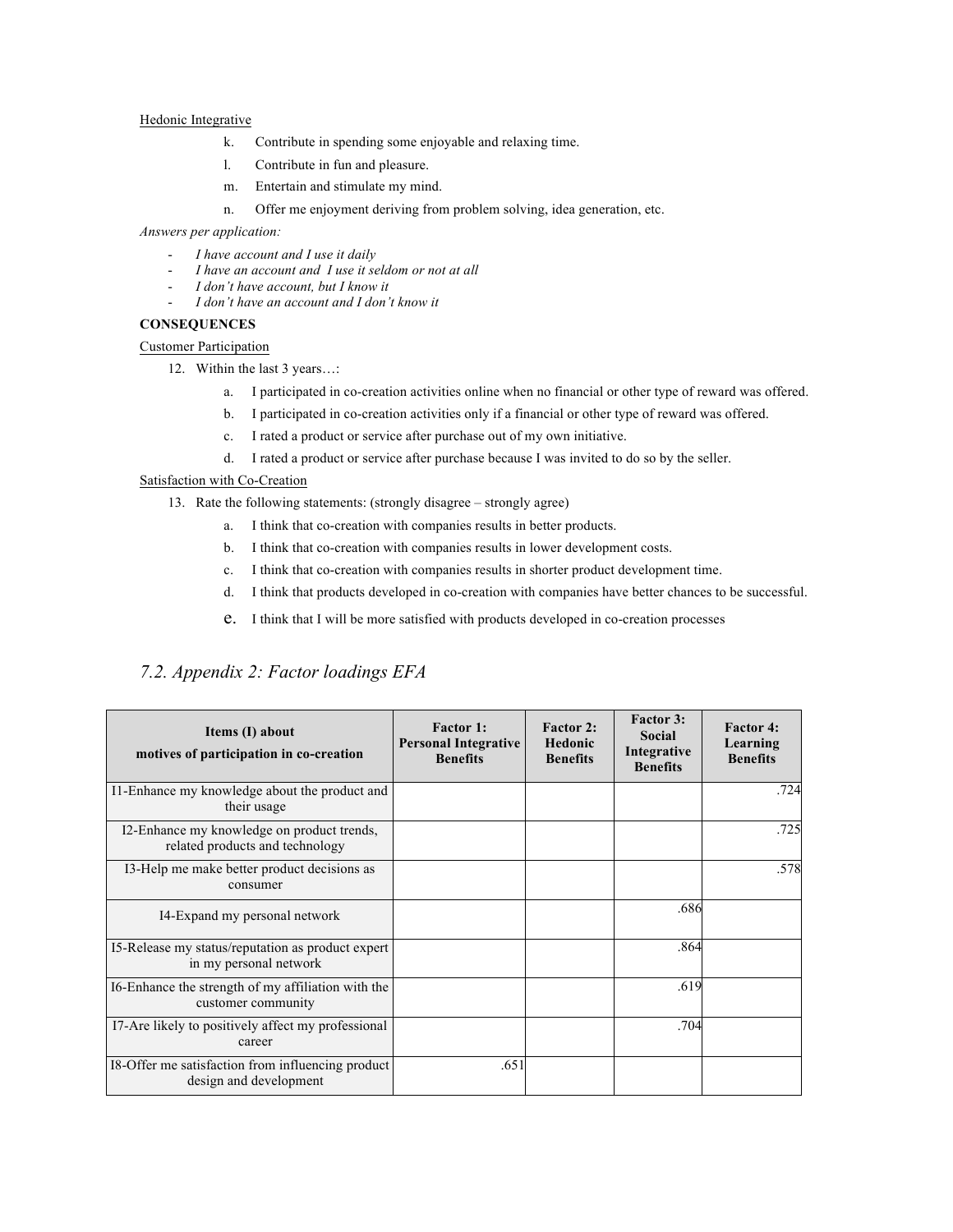#### Hedonic Integrative

- k. Contribute in spending some enjoyable and relaxing time.
- l. Contribute in fun and pleasure.
- m. Entertain and stimulate my mind.
- n. Offer me enjoyment deriving from problem solving, idea generation, etc.

#### *Answers per application:*

- *I have account and I use it daily*
- *I have an account and I use it seldom or not at all*
- *I don't have account, but I know it*
- *I don't have an account and I don't know it*

## **CONSEQUENCES**

#### Customer Participation

- 12. Within the last 3 years...:
	- a. I participated in co-creation activities online when no financial or other type of reward was offered.
	- b. I participated in co-creation activities only if a financial or other type of reward was offered.
	- c. I rated a product or service after purchase out of my own initiative.
	- d. I rated a product or service after purchase because I was invited to do so by the seller.

### Satisfaction with Co-Creation

- 13. Rate the following statements: (strongly disagree strongly agree)
	- a. I think that co-creation with companies results in better products.
	- b. I think that co-creation with companies results in lower development costs.
	- c. I think that co-creation with companies results in shorter product development time.
	- d. I think that products developed in co-creation with companies have better chances to be successful.
	- e. I think that I will be more satisfied with products developed in co-creation processes

## *7.2. Appendix 2: Factor loadings EFA*

| Items (I) about<br>motives of participation in co-creation                    | <b>Factor 1:</b><br><b>Personal Integrative</b><br><b>Benefits</b> | <b>Factor 2:</b><br>Hedonic<br><b>Benefits</b> | <b>Factor 3:</b><br><b>Social</b><br>Integrative<br><b>Benefits</b> | <b>Factor 4:</b><br>Learning<br><b>Benefits</b> |
|-------------------------------------------------------------------------------|--------------------------------------------------------------------|------------------------------------------------|---------------------------------------------------------------------|-------------------------------------------------|
| I1-Enhance my knowledge about the product and<br>their usage                  |                                                                    |                                                |                                                                     | .724                                            |
| I2-Enhance my knowledge on product trends,<br>related products and technology |                                                                    |                                                |                                                                     | .725                                            |
| I3-Help me make better product decisions as<br>consumer                       |                                                                    |                                                |                                                                     | .578                                            |
| I4-Expand my personal network                                                 |                                                                    |                                                | .686                                                                |                                                 |
| I5-Release my status/reputation as product expert<br>in my personal network   |                                                                    |                                                | .864                                                                |                                                 |
| I6-Enhance the strength of my affiliation with the<br>customer community      |                                                                    |                                                | .619                                                                |                                                 |
| I 7-Are likely to positively affect my professional<br>career                 |                                                                    |                                                | .704                                                                |                                                 |
| 18-Offer me satisfaction from influencing product<br>design and development   | .651                                                               |                                                |                                                                     |                                                 |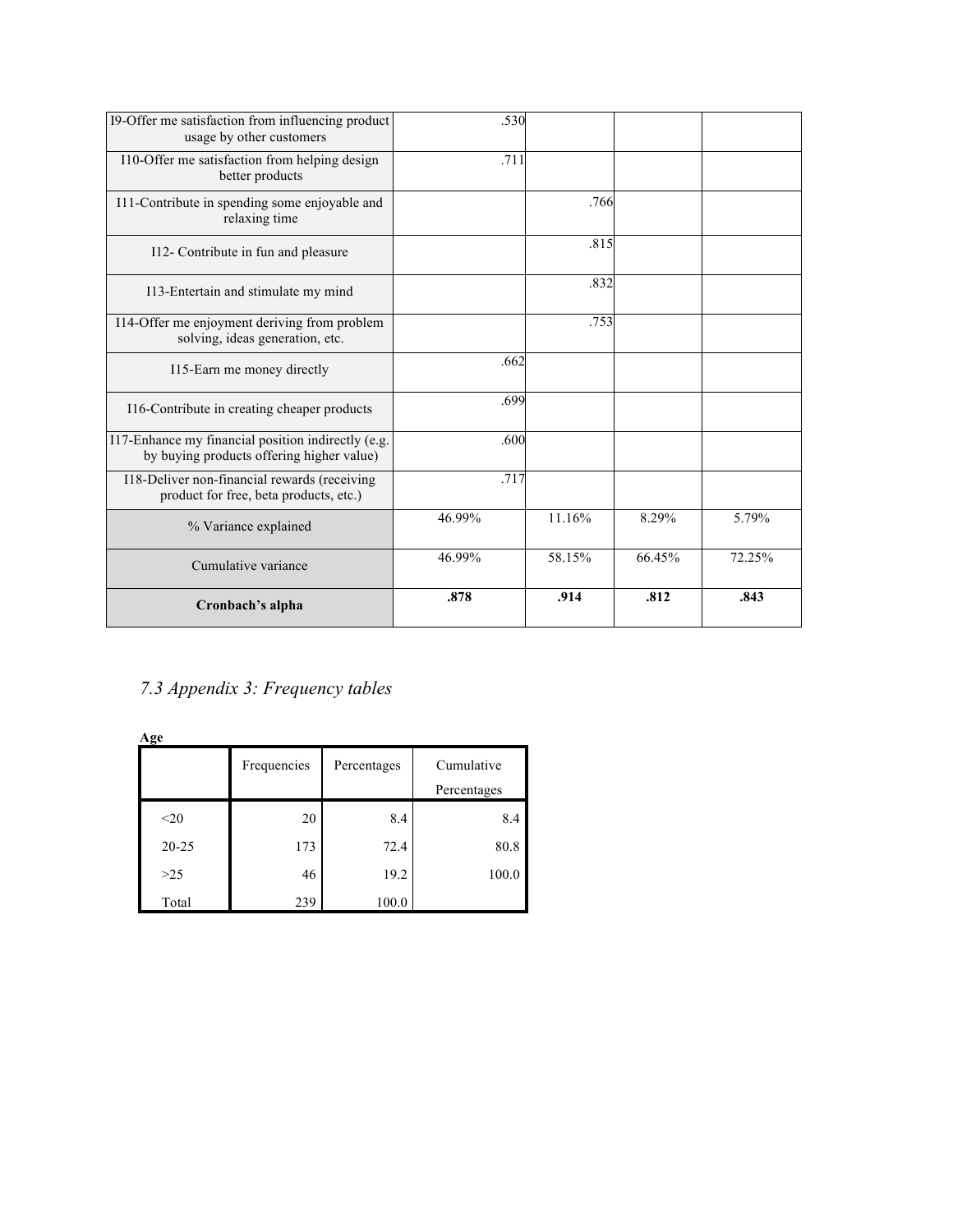| 19-Offer me satisfaction from influencing product<br>usage by other customers                   | .530   |        |        |        |
|-------------------------------------------------------------------------------------------------|--------|--------|--------|--------|
| 110-Offer me satisfaction from helping design<br>better products                                | .711   |        |        |        |
| I11-Contribute in spending some enjoyable and<br>relaxing time                                  |        | .766   |        |        |
| I12- Contribute in fun and pleasure                                                             |        | .815   |        |        |
| I13-Entertain and stimulate my mind                                                             |        | .832   |        |        |
| I14-Offer me enjoyment deriving from problem<br>solving, ideas generation, etc.                 |        | .753   |        |        |
| 115-Earn me money directly                                                                      | .662   |        |        |        |
| 116-Contribute in creating cheaper products                                                     | .699   |        |        |        |
| I17-Enhance my financial position indirectly (e.g.<br>by buying products offering higher value) | .600   |        |        |        |
| I18-Deliver non-financial rewards (receiving<br>product for free, beta products, etc.)          | .717   |        |        |        |
| % Variance explained                                                                            | 46.99% | 11.16% | 8.29%  | 5.79%  |
| Cumulative variance                                                                             | 46.99% | 58.15% | 66.45% | 72.25% |
| Cronbach's alpha                                                                                | .878   | .914   | .812   | .843   |

# *7.3 Appendix 3: Frequency tables*

**Age** Frequencies Percentages Cumulative Percentages  $\leq$ 20 20 8.4 8.4 20-25 173 72.4 80.8  $>25$  100.0 Total 239 100.0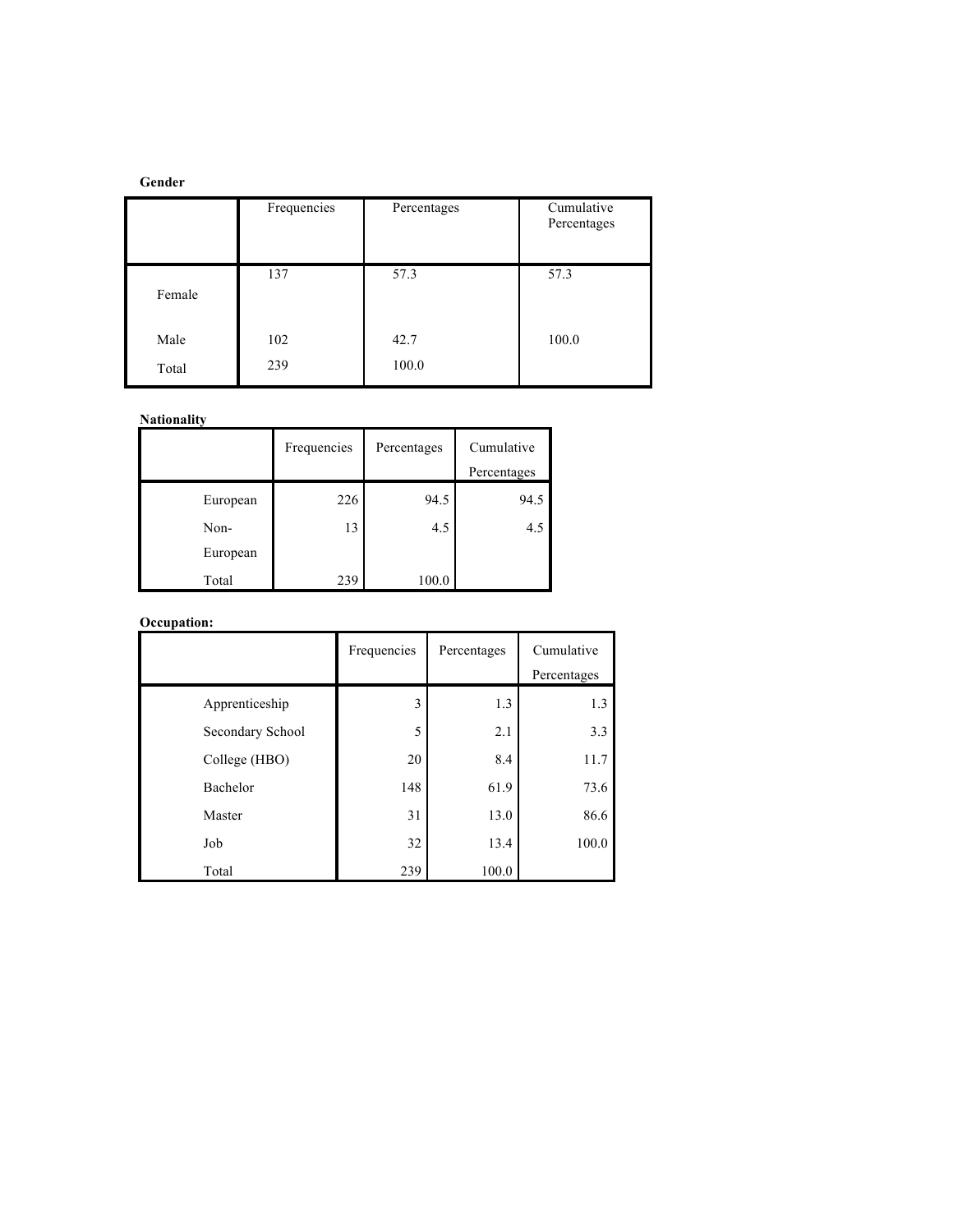#### **Gender**

|        | Frequencies | Percentages | Cumulative<br>Percentages |
|--------|-------------|-------------|---------------------------|
| Female | 137         | 57.3        | 57.3                      |
| Male   | 102         | 42.7        | 100.0                     |
| Total  | 239         | 100.0       |                           |

## **Nationality**

|          | Frequencies | Percentages | Cumulative  |
|----------|-------------|-------------|-------------|
|          |             |             | Percentages |
| European | 226         | 94.5        | 94.5        |
| Non-     | 13          | 4.5         | 4.5         |
| European |             |             |             |
| Total    | 239         | 100.0       |             |

## **Occupation:**

|                  | Frequencies | Percentages | Cumulative<br>Percentages |
|------------------|-------------|-------------|---------------------------|
|                  |             |             |                           |
| Apprenticeship   | 3           | 1.3         | 1.3                       |
| Secondary School | 5           | 2.1         | 3.3                       |
| College (HBO)    | 20          | 8.4         | 11.7                      |
| Bachelor         | 148         | 61.9        | 73.6                      |
| Master           | 31          | 13.0        | 86.6                      |
| Job              | 32          | 13.4        | 100.0                     |
| Total            | 239         | 100.0       |                           |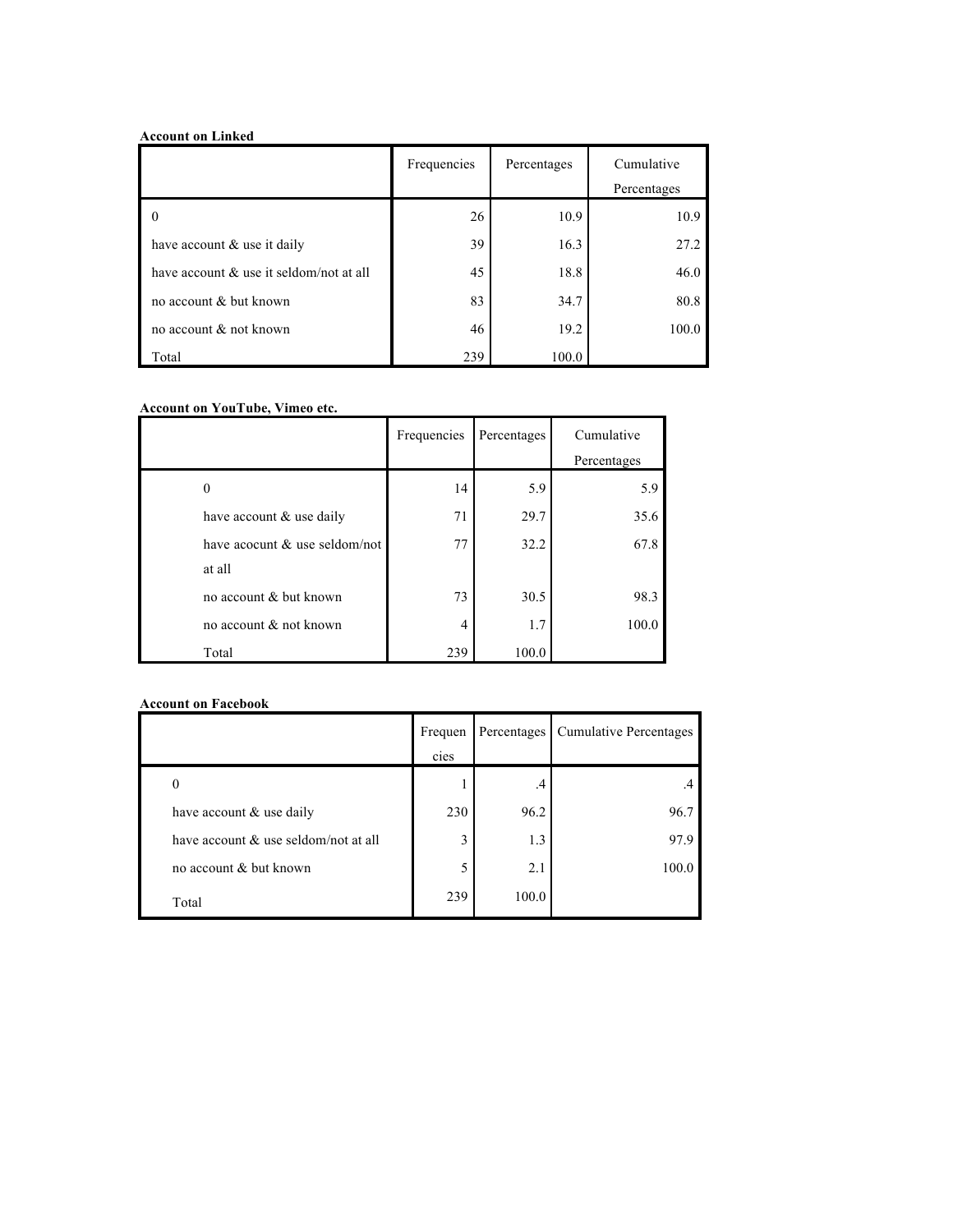## **Account on Linked**

|                                         | Frequencies | Percentages | Cumulative  |  |
|-----------------------------------------|-------------|-------------|-------------|--|
|                                         |             |             | Percentages |  |
| 0                                       | 26          | 10.9        | 10.9        |  |
| have account $\&$ use it daily          | 39          | 16.3        | 27.2        |  |
| have account & use it seldom/not at all | 45          | 18.8        | 46.0        |  |
| no account & but known                  | 83          | 34.7        | 80.8        |  |
| no account & not known                  | 46          | 19.2        | 100.0       |  |
| Total                                   | 239         | 100.0       |             |  |

## **Account on YouTube, Vimeo etc.**

|                               | Frequencies | Percentages | Cumulative  |
|-------------------------------|-------------|-------------|-------------|
|                               |             |             | Percentages |
|                               | 14          | 5.9         | 5.9         |
| have account $\&$ use daily   | 71          | 29.7        | 35.6        |
| have acocunt & use seldom/not | 77          | 32.2        | 67.8        |
| at all                        |             |             |             |
| no account & but known        | 73          | 30.5        | 98.3        |
| no account & not known        | 4           | 1.7         | 100.0       |
| Total                         | 239         | 100.0       |             |

## **Account on Facebook**

|                                      | Frequen | Percentages | <b>Cumulative Percentages</b> |
|--------------------------------------|---------|-------------|-------------------------------|
|                                      | cies    |             |                               |
| $\theta$                             |         | .4          |                               |
| have account $\&$ use daily          | 230     | 96.2        | 96.7                          |
| have account & use seldom/not at all | 3       | 1.3         | 97.9                          |
| no account & but known               |         | 2.1         | 100.0                         |
| Total                                | 239     | 100.0       |                               |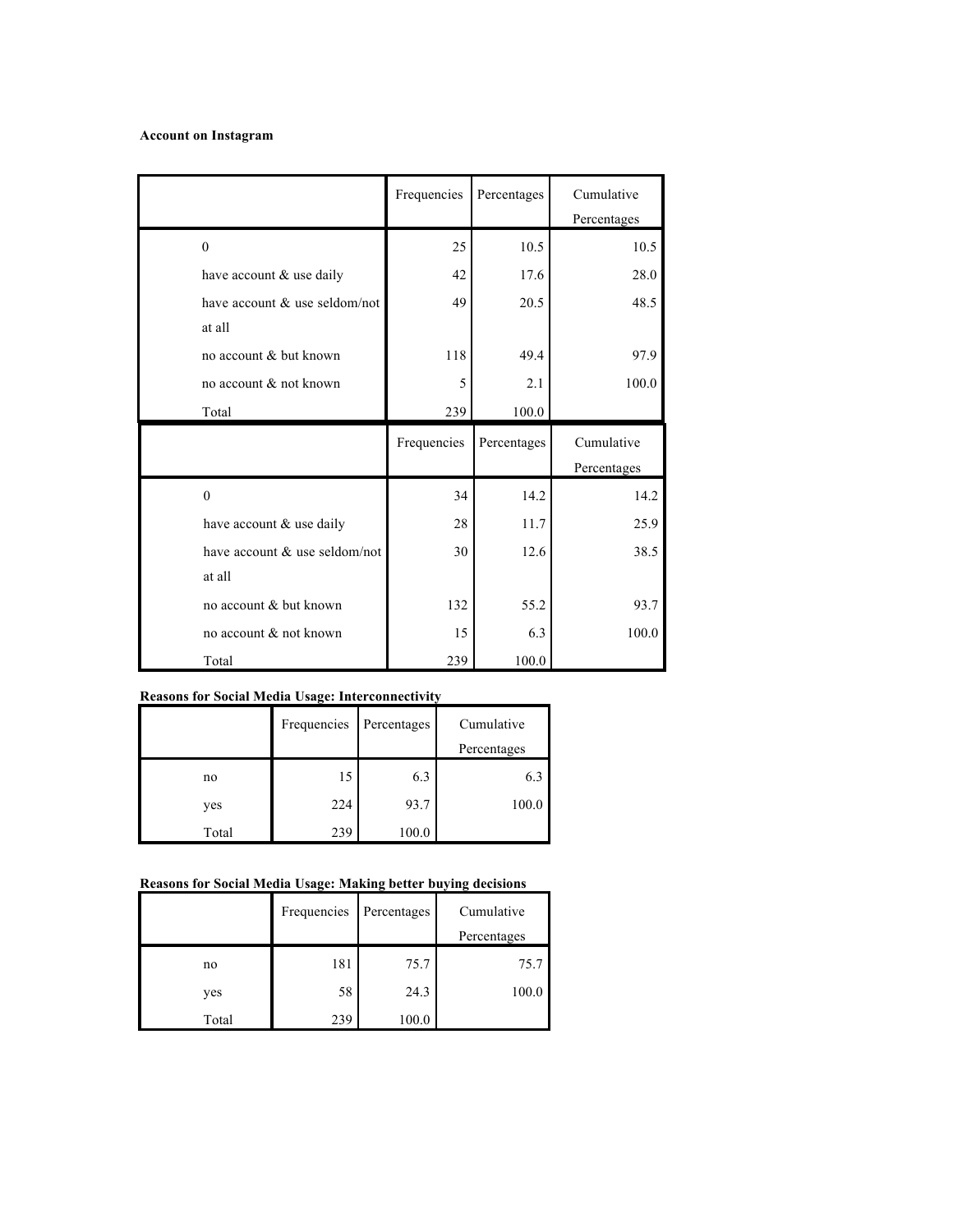## **Account on Instagram**

|                               | Frequencies | Percentages | Cumulative<br>Percentages |
|-------------------------------|-------------|-------------|---------------------------|
| $\theta$                      | 25          | 10.5        | 10.5                      |
| have account & use daily      | 42          | 17.6        | 28.0                      |
| have account & use seldom/not | 49          | 20.5        | 48.5                      |
| at all                        |             |             |                           |
| no account & but known        | 118         | 49.4        | 97.9                      |
| no account & not known        | 5           | 2.1         | 100.0                     |
| Total                         | 239         | 100.0       |                           |
|                               |             |             |                           |
|                               | Frequencies | Percentages | Cumulative                |
|                               |             |             | Percentages               |
| $\theta$                      | 34          | 14.2        | 14.2                      |
| have account & use daily      | 28          | 11.7        | 25.9                      |
| have account & use seldom/not | 30          | 12.6        | 38.5                      |
| at all                        |             |             |                           |
| no account & but known        | 132         | 55.2        | 93.7                      |
| no account & not known        | 15          | 6.3         | 100.0                     |

## **Reasons for Social Media Usage: Interconnectivity**

|       | Frequencies | Percentages | Cumulative  |
|-------|-------------|-------------|-------------|
|       |             |             | Percentages |
| no    | 15          | 6.3         | 6.3         |
| yes   | 224         | 93.7        | 100.0       |
| Total | 239         | 100.0       |             |

## **Reasons for Social Media Usage: Making better buying decisions**

|       | Frequencies | Percentages | Cumulative  |
|-------|-------------|-------------|-------------|
|       |             |             | Percentages |
| no    | 181         | 75.7        | 75.7        |
| yes   | 58          | 24.3        | 100.0       |
| Total | 239         | 100.0       |             |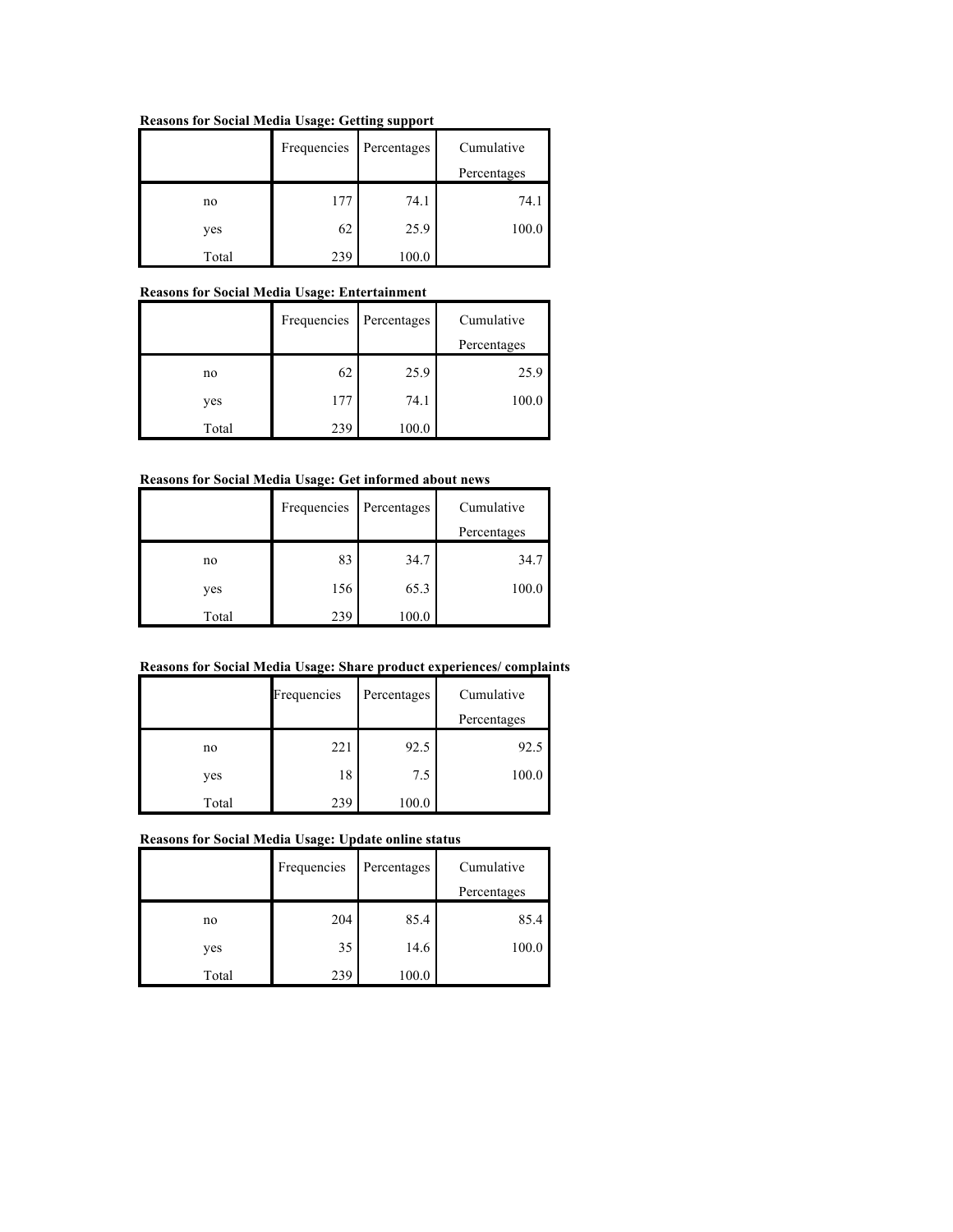## **Reasons for Social Media Usage: Getting support**

|       | Frequencies | Percentages | Cumulative  |
|-------|-------------|-------------|-------------|
|       |             |             | Percentages |
| no    | 177         | 74.1        | 74.1        |
| yes   | 62          | 25.9        | 100.0       |
| Total | 239         | 100.0       |             |

## **Reasons for Social Media Usage: Entertainment**

|       | Frequencies | Percentages | Cumulative  |  |
|-------|-------------|-------------|-------------|--|
|       |             |             | Percentages |  |
| no    | 62          | 25.9        | 25.9        |  |
| yes   | 177         | 74.1        | 100.0       |  |
| Total | 239         | 100.0       |             |  |

## **Reasons for Social Media Usage: Get informed about news**

|       | Frequencies | Percentages | Cumulative  |
|-------|-------------|-------------|-------------|
|       |             |             | Percentages |
| no    | 83          | 34.7        | 34.7        |
| yes   | 156         | 65.3        | 100.0       |
| Total | 239         | 100.0       |             |

## **Reasons for Social Media Usage: Share product experiences/ complaints**

|       | Frequencies | Percentages | Cumulative  |
|-------|-------------|-------------|-------------|
|       |             |             | Percentages |
| no    | 221         | 92.5        | 92.5        |
| yes   | 18          | 7.5         | 100.0       |
| Total | 239         | 100.0       |             |

## **Reasons for Social Media Usage: Update online status**

|       | Frequencies | Percentages | Cumulative  |  |
|-------|-------------|-------------|-------------|--|
|       |             |             | Percentages |  |
| no    | 204         | 85.4        | 85.4        |  |
| yes   | 35          | 14.6        | 100.0       |  |
| Total | 239         | 100.0       |             |  |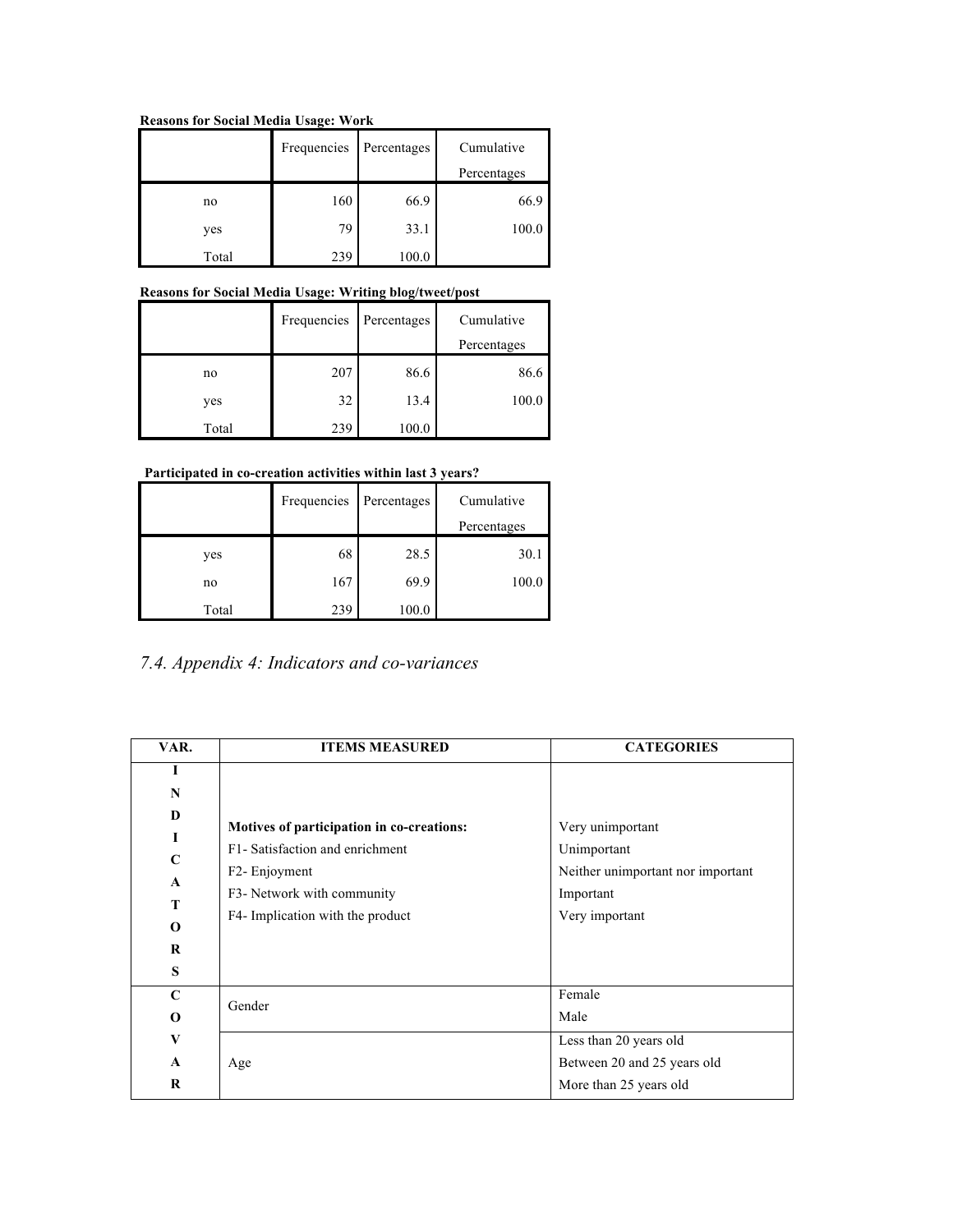## **Reasons for Social Media Usage: Work**

|       | Frequencies | Percentages | Cumulative<br>Percentages |
|-------|-------------|-------------|---------------------------|
| no    | 160         | 66.9        | 66.9                      |
| yes   | 79          | 33.1        | 100.0                     |
| Total | 239         | 100.0       |                           |

## **Reasons for Social Media Usage: Writing blog/tweet/post**

|       | Frequencies | Percentages | Cumulative<br>Percentages |
|-------|-------------|-------------|---------------------------|
|       |             |             |                           |
| no    | 207         | 86.6        | 86.6                      |
| yes   | 32          | 13.4        | 100.0                     |
| Total | 239         | 100.0       |                           |

## **Participated in co-creation activities within last 3 years?**

|       | Frequencies | Percentages | Cumulative  |
|-------|-------------|-------------|-------------|
|       |             |             | Percentages |
| yes   | 68          | 28.5        | 30.1        |
| no    | 167         | 69.9        | 100.0       |
| Total | 239         | 100.0       |             |

# *7.4. Appendix 4: Indicators and co-variances*

| VAR.         | <b>ITEMS MEASURED</b>                     | <b>CATEGORIES</b>                 |
|--------------|-------------------------------------------|-----------------------------------|
| T            |                                           |                                   |
| N            |                                           |                                   |
| D            | Motives of participation in co-creations: | Very unimportant                  |
| 1            |                                           |                                   |
| $\mathbf C$  | F1- Satisfaction and enrichment           | Unimportant                       |
|              | F2- Enjoyment                             | Neither unimportant nor important |
| A            | F3- Network with community                | Important                         |
| T            |                                           | Very important                    |
| $\bf{0}$     | F4- Implication with the product          |                                   |
| R            |                                           |                                   |
| S            |                                           |                                   |
| C            | Gender                                    | Female                            |
| $\bf{O}$     |                                           | Male                              |
| V            |                                           | Less than 20 years old            |
| $\mathbf{A}$ | Age                                       | Between 20 and 25 years old       |
| R            |                                           | More than 25 years old            |